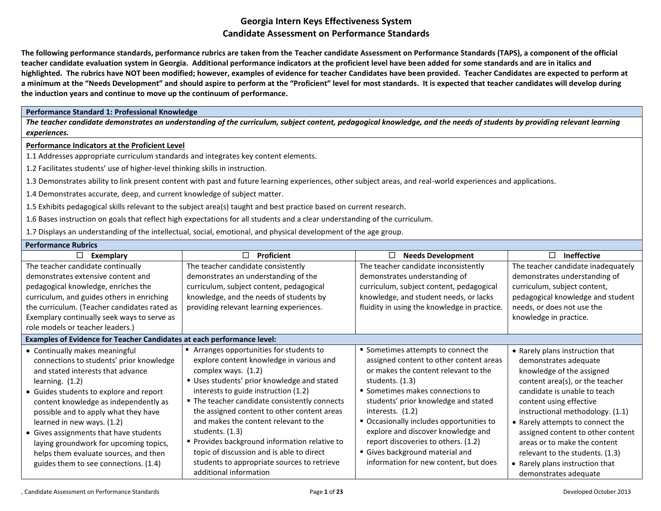**The following performance standards, performance rubrics are taken from the Teacher candidate Assessment on Performance Standards (TAPS), a component of the official teacher candidate evaluation system in Georgia. Additional performance indicators at the proficient level have been added for some standards and are in italics and highlighted. The rubrics have NOT been modified; however, examples of evidence for teacher Candidates have been provided. Teacher Candidates are expected to perform at a minimum at the "Needs Development" and should aspire to perform at the "Proficient" level for most standards. It is expected that teacher candidates will develop during the induction years and continue to move up the continuum of performance.** 

### **Performance Standard 1: Professional Knowledge**

*The teacher candidate demonstrates an understanding of the curriculum, subject content, pedagogical knowledge, and the needs of students by providing relevant learning experiences.*

### **Performance Indicators at the Proficient Level**

1.1 Addresses appropriate curriculum standards and integrates key content elements.

1.2 Facilitates students' use of higher-level thinking skills in instruction.

1.3 Demonstrates ability to link present content with past and future learning experiences, other subject areas, and real-world experiences and applications.

1.4 Demonstrates accurate, deep, and current knowledge of subject matter.

1.5 Exhibits pedagogical skills relevant to the subject area(s) taught and best practice based on current research.

1.6 Bases instruction on goals that reflect high expectations for all students and a clear understanding of the curriculum.

1.7 Displays an understanding of the intellectual, social, emotional, and physical development of the age group.

| <b>Performance Rubrics</b>                                             |                                               |                                              |                                    |
|------------------------------------------------------------------------|-----------------------------------------------|----------------------------------------------|------------------------------------|
| $\Box$<br>Exemplary                                                    | $\Box$<br>Proficient                          | <b>Needs Development</b><br>□                | <b>Ineffective</b><br>П            |
| The teacher candidate continually                                      | The teacher candidate consistently            | The teacher candidate inconsistently         | The teacher candidate inadequately |
| demonstrates extensive content and                                     | demonstrates an understanding of the          | demonstrates understanding of                | demonstrates understanding of      |
| pedagogical knowledge, enriches the                                    | curriculum, subject content, pedagogical      | curriculum, subject content, pedagogical     | curriculum, subject content,       |
| curriculum, and guides others in enriching                             | knowledge, and the needs of students by       | knowledge, and student needs, or lacks       | pedagogical knowledge and student  |
| the curriculum. (Teacher candidates rated as                           | providing relevant learning experiences.      | fluidity in using the knowledge in practice. | needs, or does not use the         |
| Exemplary continually seek ways to serve as                            |                                               |                                              | knowledge in practice.             |
| role models or teacher leaders.)                                       |                                               |                                              |                                    |
| Examples of Evidence for Teacher Candidates at each performance level: |                                               |                                              |                                    |
| • Continually makes meaningful                                         | Arranges opportunities for students to        | • Sometimes attempts to connect the          | • Rarely plans instruction that    |
| connections to students' prior knowledge                               | explore content knowledge in various and      | assigned content to other content areas      | demonstrates adequate              |
| and stated interests that advance                                      | complex ways. (1.2)                           | or makes the content relevant to the         | knowledge of the assigned          |
| learning. $(1.2)$                                                      | " Uses students' prior knowledge and stated   | students. $(1.3)$                            | content area(s), or the teacher    |
| • Guides students to explore and report                                | interests to guide instruction (1.2)          | • Sometimes makes connections to             | candidate is unable to teach       |
| content knowledge as independently as                                  | " The teacher candidate consistently connects | students' prior knowledge and stated         | content using effective            |
| possible and to apply what they have                                   | the assigned content to other content areas   | interests. $(1.2)$                           | instructional methodology. (1.1)   |
| learned in new ways. (1.2)                                             | and makes the content relevant to the         | • Occasionally includes opportunities to     | • Rarely attempts to connect the   |
| • Gives assignments that have students                                 | students. (1.3)                               | explore and discover knowledge and           | assigned content to other content  |
| laying groundwork for upcoming topics,                                 | Provides background information relative to   | report discoveries to others. (1.2)          | areas or to make the content       |
| helps them evaluate sources, and then                                  | topic of discussion and is able to direct     | Gives background material and                | relevant to the students. (1.3)    |
| guides them to see connections. (1.4)                                  | students to appropriate sources to retrieve   | information for new content, but does        | • Rarely plans instruction that    |
|                                                                        | additional information                        |                                              | demonstrates adequate              |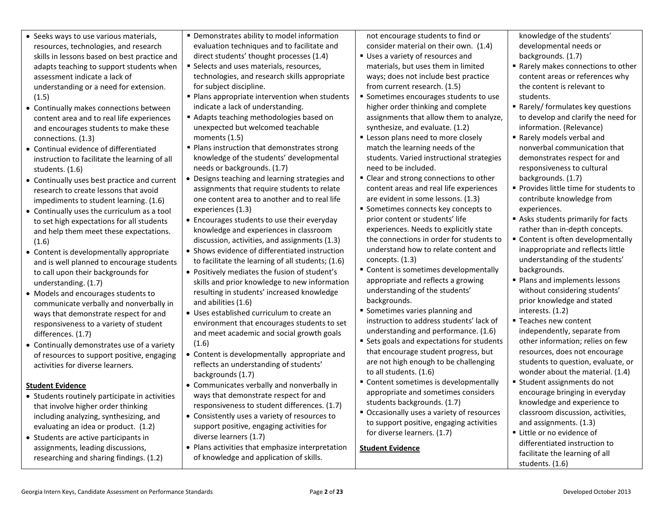| • Seeks ways to use various materials,<br>resources, technologies, and research<br>skills in lessons based on best practice and<br>adapts teaching to support students when<br>assessment indicate a lack of<br>for subject discipline.<br>understanding or a need for extension.<br>(1.5)<br>• Continually makes connections between                                                                                                                                                                                                                                                                                                                                                                                                                                                                                                                                                                                                                                                                                                                                                                                                                                                                                                                                                                                                                                                      | • Demonstrates ability to model information<br>evaluation techniques and to facilitate and<br>direct students' thought processes (1.4)<br>Uses a variety of resources and<br>Selects and uses materials, resources,<br>technologies, and research skills appropriate<br>from current research. (1.5)<br>• Plans appropriate intervention when students<br>indicate a lack of understanding.<br>Adapts teaching methodologies based on<br>unexpected but welcomed teachable<br>• Plans instruction that demonstrates strong<br>knowledge of the students' developmental<br>needs or backgrounds. (1.7)<br>need to be included.<br>" Clear and strong connections to other<br>• Designs teaching and learning strategies and                                                                                                                                                                                                                                                                                                                                                                                                                                                                                                                            | not encourage students to find or<br>knowledge of the students'<br>consider material on their own. (1.4)<br>developmental needs or<br>backgrounds. (1.7)<br>materials, but uses them in limited<br>■ Rarely makes connections to other<br>ways; does not include best practice<br>content areas or references why<br>the content is relevant to<br>Sometimes encourages students to use<br>students.<br>higher order thinking and complete<br>Rarely/ formulates key questions<br>assignments that allow them to analyze,<br>to develop and clarify the need for<br>synthesize, and evaluate. (1.2)<br>information. (Relevance)<br>" Lesson plans need to more closely<br>Rarely models verbal and<br>match the learning needs of the<br>nonverbal communication that<br>demonstrates respect for and<br>students. Varied instructional strategies<br>responsiveness to cultural<br>backgrounds. (1.7)                                                                                                                                                                                                                                                                                                                                                                                                                                                                                                                                                                                                                                                                                                                   |
|--------------------------------------------------------------------------------------------------------------------------------------------------------------------------------------------------------------------------------------------------------------------------------------------------------------------------------------------------------------------------------------------------------------------------------------------------------------------------------------------------------------------------------------------------------------------------------------------------------------------------------------------------------------------------------------------------------------------------------------------------------------------------------------------------------------------------------------------------------------------------------------------------------------------------------------------------------------------------------------------------------------------------------------------------------------------------------------------------------------------------------------------------------------------------------------------------------------------------------------------------------------------------------------------------------------------------------------------------------------------------------------------|-------------------------------------------------------------------------------------------------------------------------------------------------------------------------------------------------------------------------------------------------------------------------------------------------------------------------------------------------------------------------------------------------------------------------------------------------------------------------------------------------------------------------------------------------------------------------------------------------------------------------------------------------------------------------------------------------------------------------------------------------------------------------------------------------------------------------------------------------------------------------------------------------------------------------------------------------------------------------------------------------------------------------------------------------------------------------------------------------------------------------------------------------------------------------------------------------------------------------------------------------------|--------------------------------------------------------------------------------------------------------------------------------------------------------------------------------------------------------------------------------------------------------------------------------------------------------------------------------------------------------------------------------------------------------------------------------------------------------------------------------------------------------------------------------------------------------------------------------------------------------------------------------------------------------------------------------------------------------------------------------------------------------------------------------------------------------------------------------------------------------------------------------------------------------------------------------------------------------------------------------------------------------------------------------------------------------------------------------------------------------------------------------------------------------------------------------------------------------------------------------------------------------------------------------------------------------------------------------------------------------------------------------------------------------------------------------------------------------------------------------------------------------------------------------------------------------------------------------------------------------------------------|
| content area and to real life experiences<br>and encourages students to make these<br>moments $(1.5)$<br>connections. (1.3)<br>Continual evidence of differentiated<br>instruction to facilitate the learning of all<br>students. (1.6)<br>• Continually uses best practice and current<br>research to create lessons that avoid<br>impediments to student learning. (1.6)<br>experiences (1.3)<br>• Continually uses the curriculum as a tool<br>to set high expectations for all students<br>and help them meet these expectations.<br>(1.6)<br>• Content is developmentally appropriate<br>and is well planned to encourage students<br>to call upon their backgrounds for<br>understanding. (1.7)<br>Models and encourages students to<br>and abilities (1.6)<br>communicate verbally and nonverbally in<br>ways that demonstrate respect for and<br>responsiveness to a variety of student<br>differences. (1.7)<br>(1.6)<br>• Continually demonstrates use of a variety<br>of resources to support positive, engaging<br>activities for diverse learners.<br>backgrounds (1.7)<br>Student Evidence<br>• Students routinely participate in activities<br>that involve higher order thinking<br>including analyzing, synthesizing, and<br>evaluating an idea or product. (1.2)<br>diverse learners (1.7)<br>• Students are active participants in<br>assignments, leading discussions, | assignments that require students to relate<br>one content area to another and to real life<br>prior content or students' life<br>• Encourages students to use their everyday<br>knowledge and experiences in classroom<br>discussion, activities, and assignments (1.3)<br>• Shows evidence of differentiated instruction<br>concepts. (1.3)<br>to facilitate the learning of all students; (1.6)<br>• Positively mediates the fusion of student's<br>skills and prior knowledge to new information<br>resulting in students' increased knowledge<br>backgrounds.<br>• Sometimes varies planning and<br>• Uses established curriculum to create an<br>environment that encourages students to set<br>and meet academic and social growth goals<br>• Content is developmentally appropriate and<br>reflects an understanding of students'<br>to all students. (1.6)<br>• Communicates verbally and nonverbally in<br>ways that demonstrate respect for and<br>students backgrounds. (1.7)<br>responsiveness to student differences. (1.7)<br>• Consistently uses a variety of resources to<br>support positive, engaging activities for<br>for diverse learners. (1.7)<br>• Plans activities that emphasize interpretation<br><b>Student Evidence</b> | ■ Provides little time for students to<br>content areas and real life experiences<br>are evident in some lessons. (1.3)<br>contribute knowledge from<br>• Sometimes connects key concepts to<br>experiences.<br>Asks students primarily for facts<br>experiences. Needs to explicitly state<br>rather than in-depth concepts.<br>the connections in order for students to<br>• Content is often developmentally<br>understand how to relate content and<br>inappropriate and reflects little<br>understanding of the students'<br>• Content is sometimes developmentally<br>backgrounds.<br>• Plans and implements lessons<br>appropriate and reflects a growing<br>understanding of the students'<br>without considering students'<br>prior knowledge and stated<br>interests. (1.2)<br>instruction to address students' lack of<br>■ Teaches new content<br>understanding and performance. (1.6)<br>independently, separate from<br>• Sets goals and expectations for students<br>other information; relies on few<br>that encourage student progress, but<br>resources, does not encourage<br>students to question, evaluate, or<br>are not high enough to be challenging<br>wonder about the material. (1.4)<br>" Content sometimes is developmentally<br>■ Student assignments do not<br>encourage bringing in everyday<br>appropriate and sometimes considers<br>knowledge and experience to<br>• Occasionally uses a variety of resources<br>classroom discussion, activities,<br>to support positive, engaging activities<br>and assignments. (1.3)<br>Little or no evidence of<br>differentiated instruction to |
| researching and sharing findings. (1.2)                                                                                                                                                                                                                                                                                                                                                                                                                                                                                                                                                                                                                                                                                                                                                                                                                                                                                                                                                                                                                                                                                                                                                                                                                                                                                                                                                    | of knowledge and application of skills.                                                                                                                                                                                                                                                                                                                                                                                                                                                                                                                                                                                                                                                                                                                                                                                                                                                                                                                                                                                                                                                                                                                                                                                                               | facilitate the learning of all<br>students. (1.6)                                                                                                                                                                                                                                                                                                                                                                                                                                                                                                                                                                                                                                                                                                                                                                                                                                                                                                                                                                                                                                                                                                                                                                                                                                                                                                                                                                                                                                                                                                                                                                        |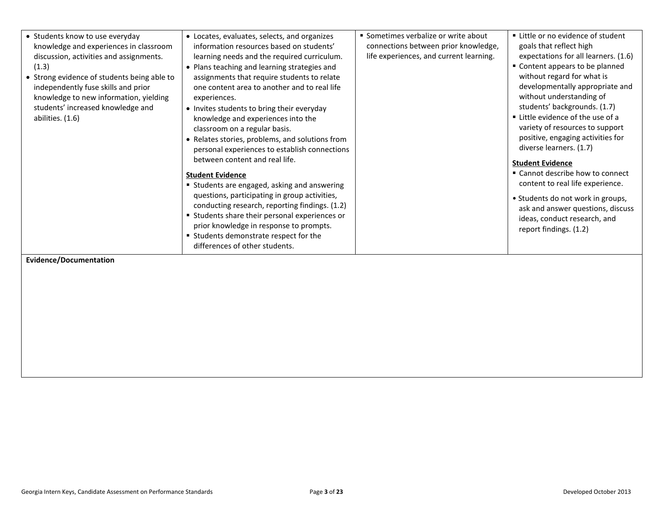| • Students know to use everyday<br>knowledge and experiences in classroom<br>discussion, activities and assignments.<br>(1.3)<br>• Strong evidence of students being able to<br>independently fuse skills and prior<br>knowledge to new information, yielding<br>students' increased knowledge and<br>abilities. (1.6)<br>Evidence/Documentation | • Locates, evaluates, selects, and organizes<br>information resources based on students'<br>learning needs and the required curriculum.<br>• Plans teaching and learning strategies and<br>assignments that require students to relate<br>one content area to another and to real life<br>experiences.<br>• Invites students to bring their everyday<br>knowledge and experiences into the<br>classroom on a regular basis.<br>• Relates stories, problems, and solutions from<br>personal experiences to establish connections<br>between content and real life.<br><b>Student Evidence</b><br>" Students are engaged, asking and answering<br>questions, participating in group activities,<br>conducting research, reporting findings. (1.2)<br>" Students share their personal experiences or<br>prior knowledge in response to prompts.<br>" Students demonstrate respect for the<br>differences of other students. | • Sometimes verbalize or write about<br>connections between prior knowledge,<br>life experiences, and current learning. | ■ Little or no evidence of student<br>goals that reflect high<br>expectations for all learners. (1.6)<br>" Content appears to be planned<br>without regard for what is<br>developmentally appropriate and<br>without understanding of<br>students' backgrounds. (1.7)<br>■ Little evidence of the use of a<br>variety of resources to support<br>positive, engaging activities for<br>diverse learners. (1.7)<br><b>Student Evidence</b><br>" Cannot describe how to connect<br>content to real life experience.<br>• Students do not work in groups,<br>ask and answer questions, discuss<br>ideas, conduct research, and<br>report findings. (1.2) |
|--------------------------------------------------------------------------------------------------------------------------------------------------------------------------------------------------------------------------------------------------------------------------------------------------------------------------------------------------|--------------------------------------------------------------------------------------------------------------------------------------------------------------------------------------------------------------------------------------------------------------------------------------------------------------------------------------------------------------------------------------------------------------------------------------------------------------------------------------------------------------------------------------------------------------------------------------------------------------------------------------------------------------------------------------------------------------------------------------------------------------------------------------------------------------------------------------------------------------------------------------------------------------------------|-------------------------------------------------------------------------------------------------------------------------|------------------------------------------------------------------------------------------------------------------------------------------------------------------------------------------------------------------------------------------------------------------------------------------------------------------------------------------------------------------------------------------------------------------------------------------------------------------------------------------------------------------------------------------------------------------------------------------------------------------------------------------------------|
|--------------------------------------------------------------------------------------------------------------------------------------------------------------------------------------------------------------------------------------------------------------------------------------------------------------------------------------------------|--------------------------------------------------------------------------------------------------------------------------------------------------------------------------------------------------------------------------------------------------------------------------------------------------------------------------------------------------------------------------------------------------------------------------------------------------------------------------------------------------------------------------------------------------------------------------------------------------------------------------------------------------------------------------------------------------------------------------------------------------------------------------------------------------------------------------------------------------------------------------------------------------------------------------|-------------------------------------------------------------------------------------------------------------------------|------------------------------------------------------------------------------------------------------------------------------------------------------------------------------------------------------------------------------------------------------------------------------------------------------------------------------------------------------------------------------------------------------------------------------------------------------------------------------------------------------------------------------------------------------------------------------------------------------------------------------------------------------|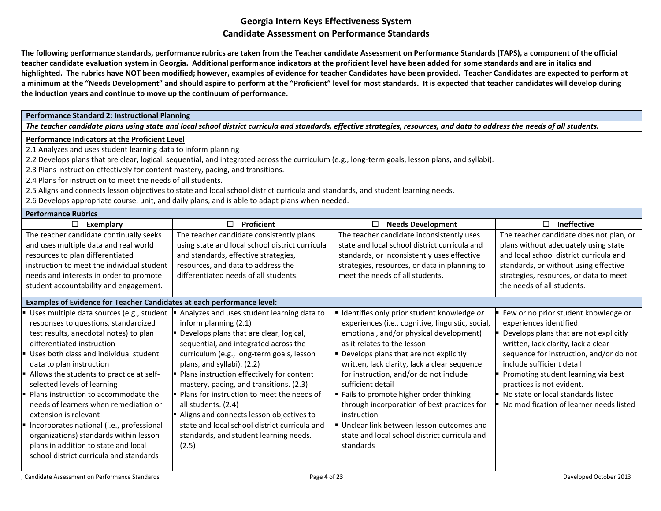**The following performance standards, performance rubrics are taken from the Teacher candidate Assessment on Performance Standards (TAPS), a component of the official teacher candidate evaluation system in Georgia. Additional performance indicators at the proficient level have been added for some standards and are in italics and highlighted. The rubrics have NOT been modified; however, examples of evidence for teacher Candidates have been provided. Teacher Candidates are expected to perform at a minimum at the "Needs Development" and should aspire to perform at the "Proficient" level for most standards. It is expected that teacher candidates will develop during the induction years and continue to move up the continuum of performance.** 

### **Performance Standard 2: Instructional Planning**

*The teacher candidate plans using state and local school district curricula and standards, effective strategies, resources, and data to address the needs of all students.*

#### **Performance Indicators at the Proficient Level**

2.1 Analyzes and uses student learning data to inform planning

2.2 Develops plans that are clear, logical, sequential, and integrated across the curriculum (e.g., long-term goals, lesson plans, and syllabi).

- 2.3 Plans instruction effectively for content mastery, pacing, and transitions.
- 2.4 Plans for instruction to meet the needs of all students.
- 2.5 Aligns and connects lesson objectives to state and local school district curricula and standards, and student learning needs.

2.6 Develops appropriate course, unit, and daily plans, and is able to adapt plans when needed.

# **Performance Rubrics**

| FEITUITII AITLE NUUTILS                                                                                                                                                                                                                                                                                                                                                                                                                                                                                                                                                                        |                                                                                                                                                                                                                                                                                                                                                                                                                                                                                                                                                   |                                                                                                                                                                                                                                                                                                                                                                                                                                                                                                                                                      |                                                                                                                                                                                                                                                                                                                                                                               |
|------------------------------------------------------------------------------------------------------------------------------------------------------------------------------------------------------------------------------------------------------------------------------------------------------------------------------------------------------------------------------------------------------------------------------------------------------------------------------------------------------------------------------------------------------------------------------------------------|---------------------------------------------------------------------------------------------------------------------------------------------------------------------------------------------------------------------------------------------------------------------------------------------------------------------------------------------------------------------------------------------------------------------------------------------------------------------------------------------------------------------------------------------------|------------------------------------------------------------------------------------------------------------------------------------------------------------------------------------------------------------------------------------------------------------------------------------------------------------------------------------------------------------------------------------------------------------------------------------------------------------------------------------------------------------------------------------------------------|-------------------------------------------------------------------------------------------------------------------------------------------------------------------------------------------------------------------------------------------------------------------------------------------------------------------------------------------------------------------------------|
| $\Box$<br>Exemplary                                                                                                                                                                                                                                                                                                                                                                                                                                                                                                                                                                            | П<br>Proficient                                                                                                                                                                                                                                                                                                                                                                                                                                                                                                                                   | □<br><b>Needs Development</b>                                                                                                                                                                                                                                                                                                                                                                                                                                                                                                                        | <b>Ineffective</b><br>п                                                                                                                                                                                                                                                                                                                                                       |
| The teacher candidate continually seeks<br>and uses multiple data and real world<br>resources to plan differentiated<br>instruction to meet the individual student<br>needs and interests in order to promote<br>student accountability and engagement.                                                                                                                                                                                                                                                                                                                                        | The teacher candidate consistently plans<br>using state and local school district curricula<br>and standards, effective strategies,<br>resources, and data to address the<br>differentiated needs of all students.                                                                                                                                                                                                                                                                                                                                | The teacher candidate inconsistently uses<br>state and local school district curricula and<br>standards, or inconsistently uses effective<br>strategies, resources, or data in planning to<br>meet the needs of all students.                                                                                                                                                                                                                                                                                                                        | The teacher candidate does not plan, or<br>plans without adequately using state<br>and local school district curricula and<br>standards, or without using effective<br>strategies, resources, or data to meet<br>the needs of all students.                                                                                                                                   |
| Examples of Evidence for Teacher Candidates at each performance level:                                                                                                                                                                                                                                                                                                                                                                                                                                                                                                                         |                                                                                                                                                                                                                                                                                                                                                                                                                                                                                                                                                   |                                                                                                                                                                                                                                                                                                                                                                                                                                                                                                                                                      |                                                                                                                                                                                                                                                                                                                                                                               |
| Uses multiple data sources (e.g., student<br>responses to questions, standardized<br>test results, anecdotal notes) to plan<br>differentiated instruction<br>Uses both class and individual student<br>data to plan instruction<br>Allows the students to practice at self-<br>selected levels of learning<br>Plans instruction to accommodate the<br>needs of learners when remediation or<br>extension is relevant<br>Incorporates national (i.e., professional<br>organizations) standards within lesson<br>plans in addition to state and local<br>school district curricula and standards | Analyzes and uses student learning data to<br>inform planning (2.1)<br>Develops plans that are clear, logical,<br>sequential, and integrated across the<br>curriculum (e.g., long-term goals, lesson<br>plans, and syllabi). (2.2)<br>Plans instruction effectively for content<br>mastery, pacing, and transitions. (2.3)<br>• Plans for instruction to meet the needs of<br>all students. (2.4)<br>Aligns and connects lesson objectives to<br>state and local school district curricula and<br>standards, and student learning needs.<br>(2.5) | Identifies only prior student knowledge or<br>experiences (i.e., cognitive, linguistic, social,<br>emotional, and/or physical development)<br>as it relates to the lesson<br>Develops plans that are not explicitly<br>written, lack clarity, lack a clear sequence<br>for instruction, and/or do not include<br>sufficient detail<br>Fails to promote higher order thinking<br>through incorporation of best practices for<br>instruction<br>Unclear link between lesson outcomes and<br>state and local school district curricula and<br>standards | Few or no prior student knowledge or<br>experiences identified.<br>Develops plans that are not explicitly<br>written, lack clarity, lack a clear<br>sequence for instruction, and/or do not<br>include sufficient detail<br>Promoting student learning via best<br>practices is not evident.<br>No state or local standards listed<br>No modification of learner needs listed |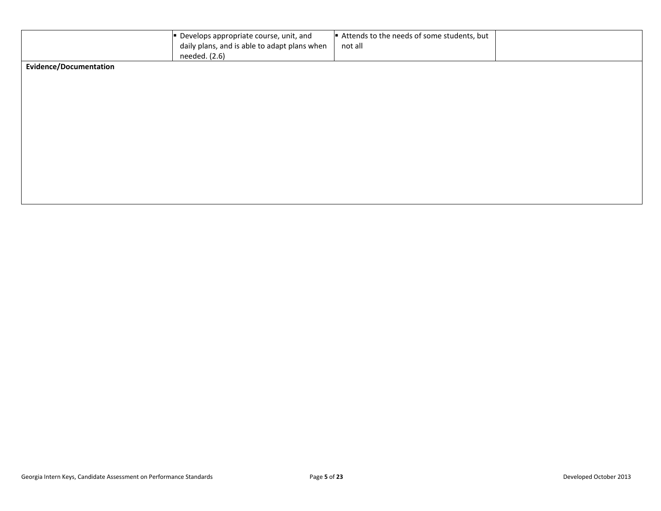|                               | Develops appropriate course, unit, and<br>daily plans, and is able to adapt plans when<br>needed. (2.6) | Attends to the needs of some students, but<br>not all |  |
|-------------------------------|---------------------------------------------------------------------------------------------------------|-------------------------------------------------------|--|
| <b>Evidence/Documentation</b> |                                                                                                         |                                                       |  |
|                               |                                                                                                         |                                                       |  |
|                               |                                                                                                         |                                                       |  |
|                               |                                                                                                         |                                                       |  |
|                               |                                                                                                         |                                                       |  |
|                               |                                                                                                         |                                                       |  |
|                               |                                                                                                         |                                                       |  |
|                               |                                                                                                         |                                                       |  |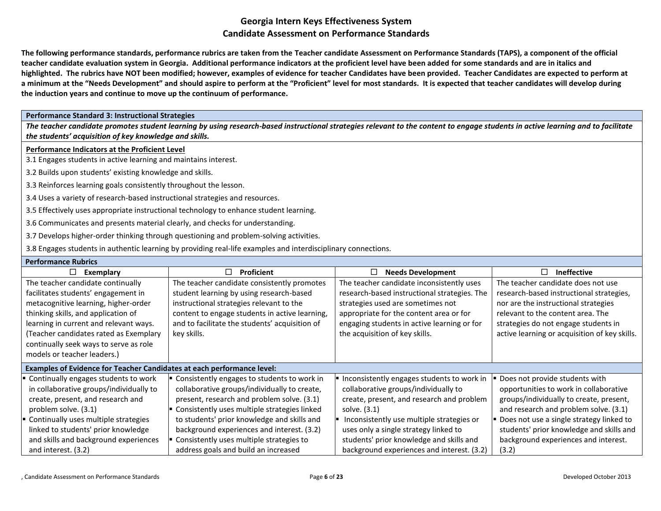**The following performance standards, performance rubrics are taken from the Teacher candidate Assessment on Performance Standards (TAPS), a component of the official teacher candidate evaluation system in Georgia. Additional performance indicators at the proficient level have been added for some standards and are in italics and highlighted. The rubrics have NOT been modified; however, examples of evidence for teacher Candidates have been provided. Teacher Candidates are expected to perform at a minimum at the "Needs Development" and should aspire to perform at the "Proficient" level for most standards. It is expected that teacher candidates will develop during the induction years and continue to move up the continuum of performance.** 

#### **Performance Standard 3: Instructional Strategies**

*The teacher candidate promotes student learning by using research-based instructional strategies relevant to the content to engage students in active learning and to facilitate the students' acquisition of key knowledge and skills.*

#### **Performance Indicators at the Proficient Level**

3.1 Engages students in active learning and maintains interest.

- 3.2 Builds upon students' existing knowledge and skills.
- 3.3 Reinforces learning goals consistently throughout the lesson.
- 3.4 Uses a variety of research-based instructional strategies and resources.
- 3.5 Effectively uses appropriate instructional technology to enhance student learning.
- 3.6 Communicates and presents material clearly, and checks for understanding.
- 3.7 Develops higher-order thinking through questioning and problem-solving activities.
- 3.8 Engages students in authentic learning by providing real-life examples and interdisciplinary connections.

| <b>Performance Rubrics</b>                                                                                                                                                                                                                                                                                           |                                                                                                                                                                                                                                                                                                                                                                            |                                                                                                                                                                                                                                                                                                                                 |                                                                                                                                                                                                                                                                                                       |
|----------------------------------------------------------------------------------------------------------------------------------------------------------------------------------------------------------------------------------------------------------------------------------------------------------------------|----------------------------------------------------------------------------------------------------------------------------------------------------------------------------------------------------------------------------------------------------------------------------------------------------------------------------------------------------------------------------|---------------------------------------------------------------------------------------------------------------------------------------------------------------------------------------------------------------------------------------------------------------------------------------------------------------------------------|-------------------------------------------------------------------------------------------------------------------------------------------------------------------------------------------------------------------------------------------------------------------------------------------------------|
| □<br>Exemplary                                                                                                                                                                                                                                                                                                       | <b>Proficient</b><br>$\Box$                                                                                                                                                                                                                                                                                                                                                | <b>Needs Development</b><br>⊔                                                                                                                                                                                                                                                                                                   | П<br><b>Ineffective</b>                                                                                                                                                                                                                                                                               |
| The teacher candidate continually<br>facilitates students' engagement in<br>metacognitive learning, higher-order<br>thinking skills, and application of<br>learning in current and relevant ways.<br>(Teacher candidates rated as Exemplary<br>continually seek ways to serve as role<br>models or teacher leaders.) | The teacher candidate consistently promotes<br>student learning by using research-based<br>instructional strategies relevant to the<br>content to engage students in active learning,<br>and to facilitate the students' acquisition of<br>key skills.                                                                                                                     | The teacher candidate inconsistently uses<br>research-based instructional strategies. The<br>strategies used are sometimes not<br>appropriate for the content area or for<br>engaging students in active learning or for<br>the acquisition of key skills.                                                                      | The teacher candidate does not use<br>research-based instructional strategies,<br>nor are the instructional strategies<br>relevant to the content area. The<br>strategies do not engage students in<br>active learning or acquisition of key skills.                                                  |
| Examples of Evidence for Teacher Candidates at each performance level:                                                                                                                                                                                                                                               |                                                                                                                                                                                                                                                                                                                                                                            |                                                                                                                                                                                                                                                                                                                                 |                                                                                                                                                                                                                                                                                                       |
| Continually engages students to work<br>in collaborative groups/individually to<br>create, present, and research and<br>problem solve. (3.1)<br>Continually uses multiple strategies<br>linked to students' prior knowledge<br>and skills and background experiences<br>and interest. (3.2)                          | Consistently engages to students to work in<br>collaborative groups/individually to create,<br>present, research and problem solve. (3.1)<br>Consistently uses multiple strategies linked<br>to students' prior knowledge and skills and<br>background experiences and interest. (3.2)<br>Consistently uses multiple strategies to<br>address goals and build an increased | Inconsistently engages students to work in<br>collaborative groups/individually to<br>create, present, and research and problem<br>solve. (3.1)<br>Inconsistently use multiple strategies or<br>uses only a single strategy linked to<br>students' prior knowledge and skills and<br>background experiences and interest. (3.2) | Does not provide students with<br>opportunities to work in collaborative<br>groups/individually to create, present,<br>and research and problem solve. (3.1)<br>Does not use a single strategy linked to<br>students' prior knowledge and skills and<br>background experiences and interest.<br>(3.2) |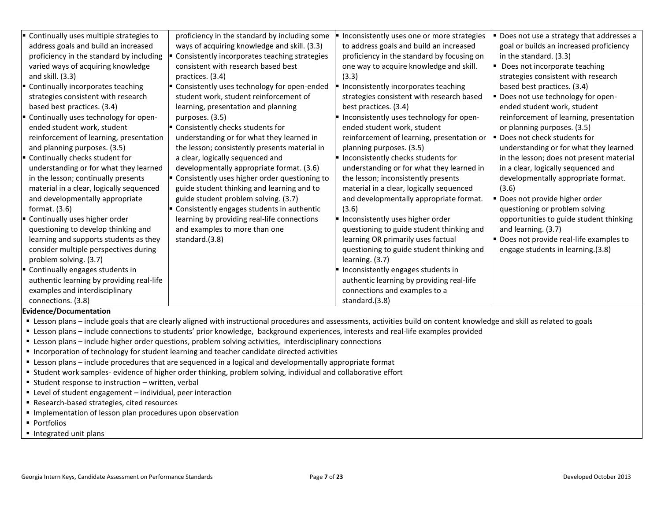| Continually uses multiple strategies to<br>address goals and build an increased<br>proficiency in the standard by including<br>varied ways of acquiring knowledge<br>and skill. $(3.3)$<br>Continually incorporates teaching<br>strategies consistent with research<br>based best practices. (3.4)<br>" Continually uses technology for open-<br>ended student work, student<br>reinforcement of learning, presentation<br>and planning purposes. (3.5)<br>" Continually checks student for<br>understanding or for what they learned<br>in the lesson; continually presents<br>material in a clear, logically sequenced<br>and developmentally appropriate<br>format. $(3.6)$<br>" Continually uses higher order<br>questioning to develop thinking and<br>learning and supports students as they<br>consider multiple perspectives during<br>problem solving. (3.7) | proficiency in the standard by including some<br>ways of acquiring knowledge and skill. (3.3)<br>Consistently incorporates teaching strategies<br>consistent with research based best<br>practices. (3.4)<br>" Consistently uses technology for open-ended<br>student work, student reinforcement of<br>learning, presentation and planning<br>purposes. (3.5)<br>Consistently checks students for<br>understanding or for what they learned in<br>the lesson; consistently presents material in<br>a clear, logically sequenced and<br>developmentally appropriate format. (3.6)<br>" Consistently uses higher order questioning to<br>guide student thinking and learning and to<br>guide student problem solving. (3.7)<br>Consistently engages students in authentic<br>learning by providing real-life connections<br>and examples to more than one<br>standard.(3.8) | Inconsistently uses one or more strategies<br>to address goals and build an increased<br>proficiency in the standard by focusing on<br>one way to acquire knowledge and skill.<br>(3.3)<br>Inconsistently incorporates teaching<br>strategies consistent with research based<br>best practices. (3.4)<br>Inconsistently uses technology for open-<br>ended student work, student<br>reinforcement of learning, presentation or<br>planning purposes. (3.5)<br>Inconsistently checks students for<br>understanding or for what they learned in<br>the lesson; inconsistently presents<br>material in a clear, logically sequenced<br>and developmentally appropriate format.<br>(3.6)<br>Inconsistently uses higher order<br>questioning to guide student thinking and<br>learning OR primarily uses factual<br>questioning to guide student thinking and<br>learning. (3.7) | Does not use a strategy that addresses a<br>goal or builds an increased proficiency<br>in the standard. (3.3)<br>Does not incorporate teaching<br>strategies consistent with research<br>based best practices. (3.4)<br>Does not use technology for open-<br>ended student work, student<br>reinforcement of learning, presentation<br>or planning purposes. (3.5)<br>Does not check students for<br>understanding or for what they learned<br>in the lesson; does not present material<br>in a clear, logically sequenced and<br>developmentally appropriate format.<br>(3.6)<br>Does not provide higher order<br>questioning or problem solving<br>opportunities to guide student thinking<br>and learning. (3.7)<br>Does not provide real-life examples to<br>engage students in learning.(3.8) |
|-----------------------------------------------------------------------------------------------------------------------------------------------------------------------------------------------------------------------------------------------------------------------------------------------------------------------------------------------------------------------------------------------------------------------------------------------------------------------------------------------------------------------------------------------------------------------------------------------------------------------------------------------------------------------------------------------------------------------------------------------------------------------------------------------------------------------------------------------------------------------|----------------------------------------------------------------------------------------------------------------------------------------------------------------------------------------------------------------------------------------------------------------------------------------------------------------------------------------------------------------------------------------------------------------------------------------------------------------------------------------------------------------------------------------------------------------------------------------------------------------------------------------------------------------------------------------------------------------------------------------------------------------------------------------------------------------------------------------------------------------------------|-----------------------------------------------------------------------------------------------------------------------------------------------------------------------------------------------------------------------------------------------------------------------------------------------------------------------------------------------------------------------------------------------------------------------------------------------------------------------------------------------------------------------------------------------------------------------------------------------------------------------------------------------------------------------------------------------------------------------------------------------------------------------------------------------------------------------------------------------------------------------------|----------------------------------------------------------------------------------------------------------------------------------------------------------------------------------------------------------------------------------------------------------------------------------------------------------------------------------------------------------------------------------------------------------------------------------------------------------------------------------------------------------------------------------------------------------------------------------------------------------------------------------------------------------------------------------------------------------------------------------------------------------------------------------------------------|
| " Continually engages students in<br>authentic learning by providing real-life<br>examples and interdisciplinary<br>connections. (3.8)                                                                                                                                                                                                                                                                                                                                                                                                                                                                                                                                                                                                                                                                                                                                |                                                                                                                                                                                                                                                                                                                                                                                                                                                                                                                                                                                                                                                                                                                                                                                                                                                                            | Inconsistently engages students in<br>authentic learning by providing real-life<br>connections and examples to a<br>standard.(3.8)                                                                                                                                                                                                                                                                                                                                                                                                                                                                                                                                                                                                                                                                                                                                          |                                                                                                                                                                                                                                                                                                                                                                                                                                                                                                                                                                                                                                                                                                                                                                                                    |

- Lesson plans include goals that are clearly aligned with instructional procedures and assessments, activities build on content knowledge and skill as related to goals
- Lesson plans include connections to students' prior knowledge, background experiences, interests and real-life examples provided
- Lesson plans include higher order questions, problem solving activities, interdisciplinary connections
- **Incorporation of technology for student learning and teacher candidate directed activities**
- Lesson plans include procedures that are sequenced in a logical and developmentally appropriate format
- Student work samples- evidence of higher order thinking, problem solving, individual and collaborative effort
- Student response to instruction written, verbal
- Level of student engagement individual, peer interaction
- Research-based strategies, cited resources
- **Implementation of lesson plan procedures upon observation**
- **Portfolios**
- **Integrated unit plans**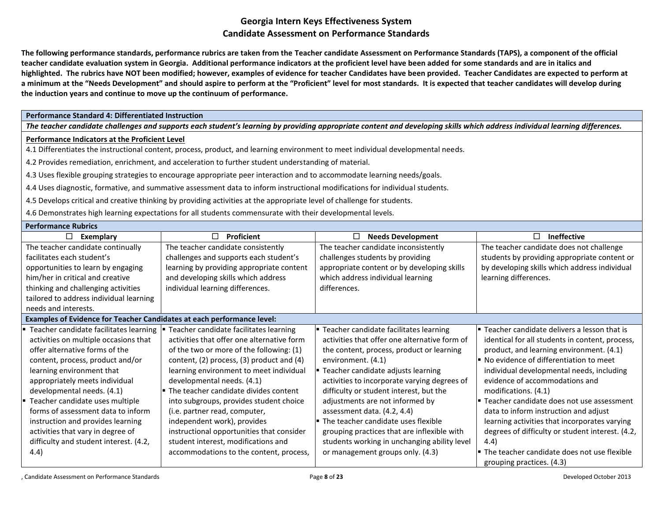**The following performance standards, performance rubrics are taken from the Teacher candidate Assessment on Performance Standards (TAPS), a component of the official teacher candidate evaluation system in Georgia. Additional performance indicators at the proficient level have been added for some standards and are in italics and highlighted. The rubrics have NOT been modified; however, examples of evidence for teacher Candidates have been provided. Teacher Candidates are expected to perform at a minimum at the "Needs Development" and should aspire to perform at the "Proficient" level for most standards. It is expected that teacher candidates will develop during the induction years and continue to move up the continuum of performance.** 

### **Performance Standard 4: Differentiated Instruction**

*The teacher candidate challenges and supports each student's learning by providing appropriate content and developing skills which address individual learning differences.*

### **Performance Indicators at the Proficient Level**

4.1 Differentiates the instructional content, process, product, and learning environment to meet individual developmental needs.

4.2 Provides remediation, enrichment, and acceleration to further student understanding of material.

4.3 Uses flexible grouping strategies to encourage appropriate peer interaction and to accommodate learning needs/goals.

4.4 Uses diagnostic, formative, and summative assessment data to inform instructional modifications for individual students.

4.5 Develops critical and creative thinking by providing activities at the appropriate level of challenge for students.

4.6 Demonstrates high learning expectations for all students commensurate with their developmental levels.

| <b>Performance Rubrics</b>                                             |                                            |                                                           |                                                                   |
|------------------------------------------------------------------------|--------------------------------------------|-----------------------------------------------------------|-------------------------------------------------------------------|
| □<br>Exemplary                                                         | Proficient<br>□                            | <b>Needs Development</b><br>⊔                             | <b>Ineffective</b><br>$\Box$                                      |
| The teacher candidate continually                                      | The teacher candidate consistently         | The teacher candidate inconsistently                      | The teacher candidate does not challenge                          |
| facilitates each student's                                             | challenges and supports each student's     | challenges students by providing                          | students by providing appropriate content or                      |
| opportunities to learn by engaging                                     | learning by providing appropriate content  | appropriate content or by developing skills               | by developing skills which address individual                     |
| him/her in critical and creative                                       | and developing skills which address        | which address individual learning                         | learning differences.                                             |
| thinking and challenging activities                                    | individual learning differences.           | differences.                                              |                                                                   |
| tailored to address individual learning                                |                                            |                                                           |                                                                   |
| needs and interests.                                                   |                                            |                                                           |                                                                   |
| Examples of Evidence for Teacher Candidates at each performance level: |                                            |                                                           |                                                                   |
| Teacher candidate facilitates learning                                 | Teacher candidate facilitates learning     | Teacher candidate facilitates learning                    | <b>E</b> Teacher candidate delivers a lesson that is              |
| activities on multiple occasions that                                  | activities that offer one alternative form | activities that offer one alternative form of             | identical for all students in content, process,                   |
| offer alternative forms of the                                         | of the two or more of the following: (1)   | the content, process, product or learning                 | product, and learning environment. (4.1)                          |
| content, process, product and/or                                       | content, (2) process, (3) product and (4)  | environment. (4.1)                                        | No evidence of differentiation to meet                            |
| learning environment that                                              | learning environment to meet individual    | ■ Teacher candidate adjusts learning                      | individual developmental needs, including                         |
| appropriately meets individual                                         | developmental needs. (4.1)                 | activities to incorporate varying degrees of              | evidence of accommodations and                                    |
| developmental needs. (4.1)                                             | • The teacher candidate divides content    | difficulty or student interest, but the                   | modifications. (4.1)                                              |
| Teacher candidate uses multiple                                        | into subgroups, provides student choice    | adjustments are not informed by                           | Fuel Teacher candidate does not use assessment                    |
| forms of assessment data to inform                                     | (i.e. partner read, computer,              | assessment data. (4.2, 4.4)                               | data to inform instruction and adjust                             |
| instruction and provides learning                                      | independent work), provides                | $\blacktriangleright$ The teacher candidate uses flexible | learning activities that incorporates varying                     |
| activities that vary in degree of                                      | instructional opportunities that consider  | grouping practices that are inflexible with               | degrees of difficulty or student interest. (4.2,                  |
| difficulty and student interest. (4.2,                                 | student interest, modifications and        | students working in unchanging ability level              | 4.4)                                                              |
| (4.4)                                                                  | accommodations to the content, process,    | or management groups only. (4.3)                          | $\blacktriangleright$ The teacher candidate does not use flexible |
|                                                                        |                                            |                                                           | grouping practices. (4.3)                                         |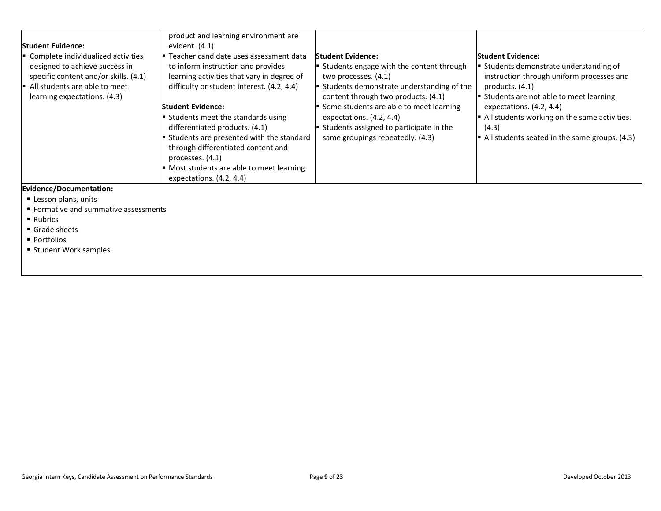| <b>Student Evidence:</b><br>Complete individualized activities<br>designed to achieve success in<br>specific content and/or skills. (4.1)<br>$\blacksquare$ All students are able to meet<br>learning expectations. (4.3) | product and learning environment are<br>evident. (4.1)<br>F Teacher candidate uses assessment data<br>to inform instruction and provides<br>learning activities that vary in degree of<br>difficulty or student interest. (4.2, 4.4)<br>lStudent Evidence:<br>Students meet the standards using<br>differentiated products. (4.1)<br>Students are presented with the standard<br>through differentiated content and | <b>Student Evidence:</b><br>Students engage with the content through<br>two processes. (4.1)<br>$\blacktriangleright$ Students demonstrate understanding of the<br>content through two products. (4.1)<br>Some students are able to meet learning<br>expectations. (4.2, 4.4)<br>Students assigned to participate in the<br>same groupings repeatedly. (4.3) | <b>Student Evidence:</b><br>Students demonstrate understanding of<br>instruction through uniform processes and<br>products. $(4.1)$<br><b>E</b> Students are not able to meet learning<br>expectations. (4.2, 4.4)<br>$\blacktriangleright$ All students working on the same activities.<br>(4.3)<br>$\blacktriangleright$ All students seated in the same groups. (4.3) |
|---------------------------------------------------------------------------------------------------------------------------------------------------------------------------------------------------------------------------|---------------------------------------------------------------------------------------------------------------------------------------------------------------------------------------------------------------------------------------------------------------------------------------------------------------------------------------------------------------------------------------------------------------------|--------------------------------------------------------------------------------------------------------------------------------------------------------------------------------------------------------------------------------------------------------------------------------------------------------------------------------------------------------------|--------------------------------------------------------------------------------------------------------------------------------------------------------------------------------------------------------------------------------------------------------------------------------------------------------------------------------------------------------------------------|
| Evidence/Documentation:                                                                                                                                                                                                   | processes. (4.1)<br>" Most students are able to meet learning<br>expectations. (4.2, 4.4)                                                                                                                                                                                                                                                                                                                           |                                                                                                                                                                                                                                                                                                                                                              |                                                                                                                                                                                                                                                                                                                                                                          |
| Lesson plans, units                                                                                                                                                                                                       |                                                                                                                                                                                                                                                                                                                                                                                                                     |                                                                                                                                                                                                                                                                                                                                                              |                                                                                                                                                                                                                                                                                                                                                                          |

- **Formative and summative assessments**
- Rubrics
- Grade sheets
- Portfolios
- **Student Work samples**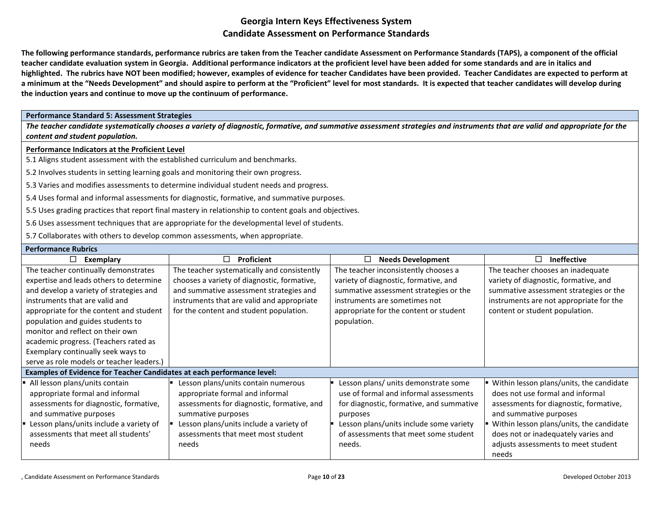**The following performance standards, performance rubrics are taken from the Teacher candidate Assessment on Performance Standards (TAPS), a component of the official teacher candidate evaluation system in Georgia. Additional performance indicators at the proficient level have been added for some standards and are in italics and highlighted. The rubrics have NOT been modified; however, examples of evidence for teacher Candidates have been provided. Teacher Candidates are expected to perform at a minimum at the "Needs Development" and should aspire to perform at the "Proficient" level for most standards. It is expected that teacher candidates will develop during the induction years and continue to move up the continuum of performance.** 

#### **Performance Standard 5: Assessment Strategies**

*The teacher candidate systematically chooses a variety of diagnostic, formative, and summative assessment strategies and instruments that are valid and appropriate for the content and student population.*

#### **Performance Indicators at the Proficient Level**

5.1 Aligns student assessment with the established curriculum and benchmarks.

5.2 Involves students in setting learning goals and monitoring their own progress.

5.3 Varies and modifies assessments to determine individual student needs and progress.

5.4 Uses formal and informal assessments for diagnostic, formative, and summative purposes.

5.5 Uses grading practices that report final mastery in relationship to content goals and objectives.

5.6 Uses assessment techniques that are appropriate for the developmental level of students.

5.7 Collaborates with others to develop common assessments, when appropriate.

### **Performance Rubrics**

| □<br>Exemplary                                                                                                                                                                                                                                                                                                                                                                                               | □<br>Proficient                                                                                                                                                                                                                      | <b>Needs Development</b>                                                                                                                                                                                                             | <b>Ineffective</b><br>H                                                                                                                                                                                                                                                               |
|--------------------------------------------------------------------------------------------------------------------------------------------------------------------------------------------------------------------------------------------------------------------------------------------------------------------------------------------------------------------------------------------------------------|--------------------------------------------------------------------------------------------------------------------------------------------------------------------------------------------------------------------------------------|--------------------------------------------------------------------------------------------------------------------------------------------------------------------------------------------------------------------------------------|---------------------------------------------------------------------------------------------------------------------------------------------------------------------------------------------------------------------------------------------------------------------------------------|
| The teacher continually demonstrates<br>expertise and leads others to determine<br>and develop a variety of strategies and<br>instruments that are valid and<br>appropriate for the content and student<br>population and guides students to<br>monitor and reflect on their own<br>academic progress. (Teachers rated as<br>Exemplary continually seek ways to<br>serve as role models or teacher leaders.) | The teacher systematically and consistently<br>chooses a variety of diagnostic, formative,<br>and summative assessment strategies and<br>instruments that are valid and appropriate<br>for the content and student population.       | The teacher inconsistently chooses a<br>variety of diagnostic, formative, and<br>summative assessment strategies or the<br>instruments are sometimes not<br>appropriate for the content or student<br>population.                    | The teacher chooses an inadequate<br>variety of diagnostic, formative, and<br>summative assessment strategies or the<br>instruments are not appropriate for the<br>content or student population.                                                                                     |
| Examples of Evidence for Teacher Candidates at each performance level:                                                                                                                                                                                                                                                                                                                                       |                                                                                                                                                                                                                                      |                                                                                                                                                                                                                                      |                                                                                                                                                                                                                                                                                       |
| All lesson plans/units contain<br>appropriate formal and informal<br>assessments for diagnostic, formative,<br>and summative purposes<br>Examples 1.5 Lesson plans/units include a variety of<br>assessments that meet all students'<br>needs                                                                                                                                                                | Lesson plans/units contain numerous<br>appropriate formal and informal<br>assessments for diagnostic, formative, and<br>summative purposes<br>Lesson plans/units include a variety of<br>assessments that meet most student<br>needs | Lesson plans/ units demonstrate some<br>use of formal and informal assessments<br>for diagnostic, formative, and summative<br>purposes<br>Lesson plans/units include some variety<br>of assessments that meet some student<br>needs. | ■ Within lesson plans/units, the candidate<br>does not use formal and informal<br>assessments for diagnostic, formative,<br>and summative purposes<br>Within lesson plans/units, the candidate<br>does not or inadequately varies and<br>adjusts assessments to meet student<br>needs |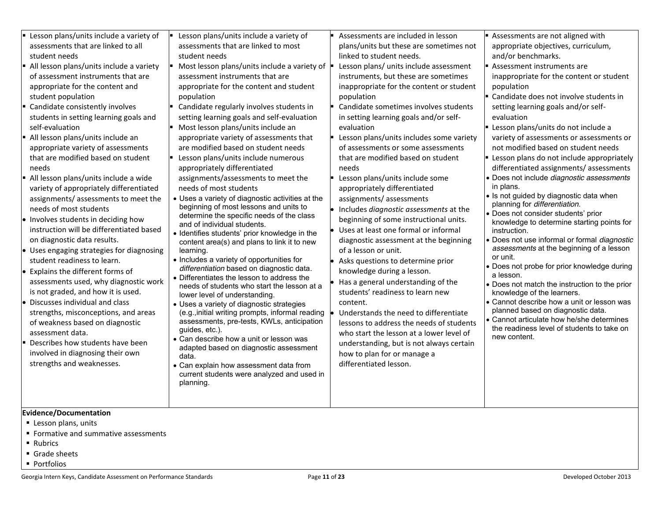|  | Lesson plans/units include a variety of<br>assessments that are linked to all<br>student needs<br>All lesson plans/units include a variety<br>of assessment instruments that are<br>appropriate for the content and<br>student population<br>• Candidate consistently involves<br>students in setting learning goals and<br>self-evaluation<br>All lesson plans/units include an<br>appropriate variety of assessments<br>that are modified based on student<br>needs<br>All lesson plans/units include a wide<br>variety of appropriately differentiated<br>assignments/assessments to meet the<br>needs of most students<br>. Involves students in deciding how<br>instruction will be differentiated based<br>on diagnostic data results.<br>• Uses engaging strategies for diagnosing<br>student readiness to learn.<br>$\bullet$ Explains the different forms of<br>assessments used, why diagnostic work<br>is not graded, and how it is used.<br>$\bullet$ Discusses individual and class<br>strengths, misconceptions, and areas<br>of weakness based on diagnostic<br>assessment data.<br>Describes how students have been<br>involved in diagnosing their own<br>strengths and weaknesses.<br>Evidence/Documentation | Lesson plans/units include a variety of<br>$\blacksquare$<br>assessments that are linked to most<br>student needs<br>Most lesson plans/units include a variety of $\vert \cdot \vert$<br>assessment instruments that are<br>appropriate for the content and student<br>population<br>$\blacksquare$ Candidate regularly involves students in<br>setting learning goals and self-evaluation<br>Most lesson plans/units include an<br>appropriate variety of assessments that<br>are modified based on student needs<br>- Lesson plans/units include numerous<br>appropriately differentiated<br>assignments/assessments to meet the<br>needs of most students<br>• Uses a variety of diagnostic activities at the<br>beginning of most lessons and units to<br>determine the specific needs of the class<br>and of individual students.<br>· Identifies students' prior knowledge in the<br>content area(s) and plans to link it to new<br>learning.<br>• Includes a variety of opportunities for<br>differentiation based on diagnostic data.<br>• Differentiates the lesson to address the<br>needs of students who start the lesson at a<br>lower level of understanding.<br>• Uses a variety of diagnostic strategies<br>(e.g., initial writing prompts, informal reading<br>assessments, pre-tests, KWLs, anticipation<br>quides, etc.).<br>• Can describe how a unit or lesson was<br>adapted based on diagnostic assessment<br>data.<br>• Can explain how assessment data from<br>current students were analyzed and used in<br>planning. | Assessments are included in lesson<br>plans/units but these are sometimes not<br>linked to student needs.<br>Lesson plans/ units include assessment<br>instruments, but these are sometimes<br>inappropriate for the content or student<br>population<br>Candidate sometimes involves students<br>in setting learning goals and/or self-<br>evaluation<br>Lesson plans/units includes some variety<br>of assessments or some assessments<br>that are modified based on student<br>needs<br>Lesson plans/units include some<br>appropriately differentiated<br>assignments/assessments<br>Includes diagnostic assessments at the<br>beginning of some instructional units.<br>Uses at least one formal or informal<br>diagnostic assessment at the beginning<br>of a lesson or unit.<br>Asks questions to determine prior<br>knowledge during a lesson.<br>Has a general understanding of the<br>students' readiness to learn new<br>content.<br>Understands the need to differentiate<br>lessons to address the needs of students<br>who start the lesson at a lower level of<br>understanding, but is not always certain<br>how to plan for or manage a<br>differentiated lesson. | Assessments are not aligned with<br>appropriate objectives, curriculum,<br>and/or benchmarks.<br>Assessment instruments are<br>inappropriate for the content or student<br>population<br>■ Candidate does not involve students in<br>setting learning goals and/or self-<br>evaluation<br>Lesson plans/units do not include a<br>variety of assessments or assessments or<br>not modified based on student needs<br>Lesson plans do not include appropriately<br>differentiated assignments/assessments<br>· Does not include diagnostic assessments<br>in plans.<br>• Is not guided by diagnostic data when<br>planning for differentiation.<br>· Does not consider students' prior<br>knowledge to determine starting points for<br>instruction.<br>· Does not use informal or formal diagnostic<br>assessments at the beginning of a lesson<br>or unit.<br>• Does not probe for prior knowledge during<br>a lesson.<br>• Does not match the instruction to the prior<br>knowledge of the learners.<br>• Cannot describe how a unit or lesson was<br>planned based on diagnostic data.<br>• Cannot articulate how he/she determines<br>the readiness level of students to take on<br>new content. |
|--|--------------------------------------------------------------------------------------------------------------------------------------------------------------------------------------------------------------------------------------------------------------------------------------------------------------------------------------------------------------------------------------------------------------------------------------------------------------------------------------------------------------------------------------------------------------------------------------------------------------------------------------------------------------------------------------------------------------------------------------------------------------------------------------------------------------------------------------------------------------------------------------------------------------------------------------------------------------------------------------------------------------------------------------------------------------------------------------------------------------------------------------------------------------------------------------------------------------------------------|-------------------------------------------------------------------------------------------------------------------------------------------------------------------------------------------------------------------------------------------------------------------------------------------------------------------------------------------------------------------------------------------------------------------------------------------------------------------------------------------------------------------------------------------------------------------------------------------------------------------------------------------------------------------------------------------------------------------------------------------------------------------------------------------------------------------------------------------------------------------------------------------------------------------------------------------------------------------------------------------------------------------------------------------------------------------------------------------------------------------------------------------------------------------------------------------------------------------------------------------------------------------------------------------------------------------------------------------------------------------------------------------------------------------------------------------------------------------------------------------------------------------------------------------------|------------------------------------------------------------------------------------------------------------------------------------------------------------------------------------------------------------------------------------------------------------------------------------------------------------------------------------------------------------------------------------------------------------------------------------------------------------------------------------------------------------------------------------------------------------------------------------------------------------------------------------------------------------------------------------------------------------------------------------------------------------------------------------------------------------------------------------------------------------------------------------------------------------------------------------------------------------------------------------------------------------------------------------------------------------------------------------------------------------------------------------------------------------------------------------|-----------------------------------------------------------------------------------------------------------------------------------------------------------------------------------------------------------------------------------------------------------------------------------------------------------------------------------------------------------------------------------------------------------------------------------------------------------------------------------------------------------------------------------------------------------------------------------------------------------------------------------------------------------------------------------------------------------------------------------------------------------------------------------------------------------------------------------------------------------------------------------------------------------------------------------------------------------------------------------------------------------------------------------------------------------------------------------------------------------------------------------------------------------------------------------------------------|
|--|--------------------------------------------------------------------------------------------------------------------------------------------------------------------------------------------------------------------------------------------------------------------------------------------------------------------------------------------------------------------------------------------------------------------------------------------------------------------------------------------------------------------------------------------------------------------------------------------------------------------------------------------------------------------------------------------------------------------------------------------------------------------------------------------------------------------------------------------------------------------------------------------------------------------------------------------------------------------------------------------------------------------------------------------------------------------------------------------------------------------------------------------------------------------------------------------------------------------------------|-------------------------------------------------------------------------------------------------------------------------------------------------------------------------------------------------------------------------------------------------------------------------------------------------------------------------------------------------------------------------------------------------------------------------------------------------------------------------------------------------------------------------------------------------------------------------------------------------------------------------------------------------------------------------------------------------------------------------------------------------------------------------------------------------------------------------------------------------------------------------------------------------------------------------------------------------------------------------------------------------------------------------------------------------------------------------------------------------------------------------------------------------------------------------------------------------------------------------------------------------------------------------------------------------------------------------------------------------------------------------------------------------------------------------------------------------------------------------------------------------------------------------------------------------|------------------------------------------------------------------------------------------------------------------------------------------------------------------------------------------------------------------------------------------------------------------------------------------------------------------------------------------------------------------------------------------------------------------------------------------------------------------------------------------------------------------------------------------------------------------------------------------------------------------------------------------------------------------------------------------------------------------------------------------------------------------------------------------------------------------------------------------------------------------------------------------------------------------------------------------------------------------------------------------------------------------------------------------------------------------------------------------------------------------------------------------------------------------------------------|-----------------------------------------------------------------------------------------------------------------------------------------------------------------------------------------------------------------------------------------------------------------------------------------------------------------------------------------------------------------------------------------------------------------------------------------------------------------------------------------------------------------------------------------------------------------------------------------------------------------------------------------------------------------------------------------------------------------------------------------------------------------------------------------------------------------------------------------------------------------------------------------------------------------------------------------------------------------------------------------------------------------------------------------------------------------------------------------------------------------------------------------------------------------------------------------------------|

- **Formative and summative assessments** ■ Rubrics
- Grade sheets
- **Portfolios**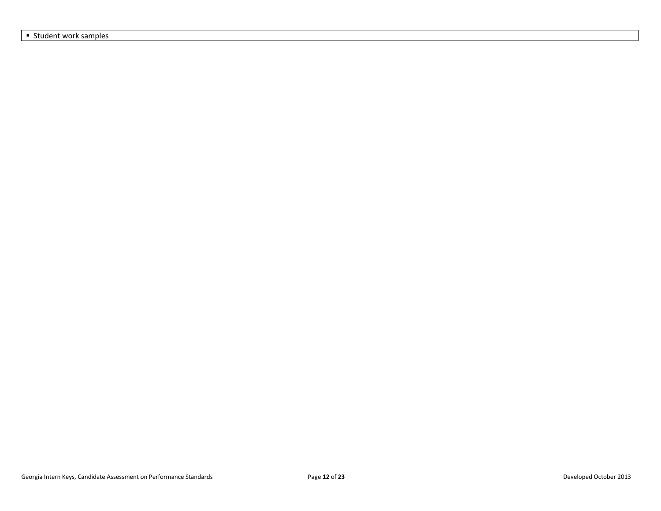**Student work samples**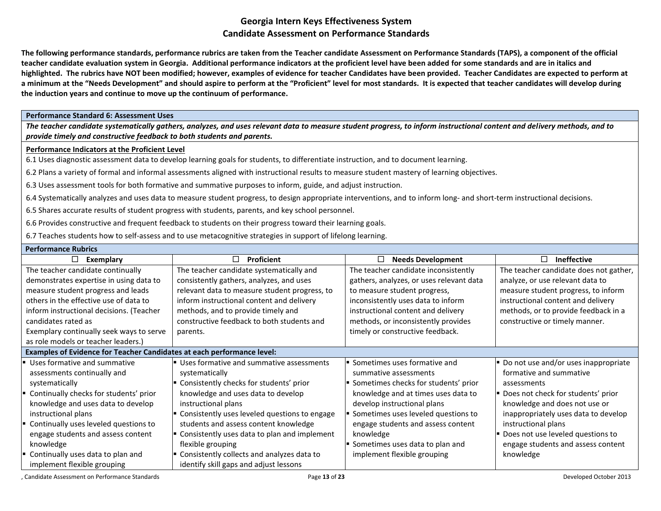**The following performance standards, performance rubrics are taken from the Teacher candidate Assessment on Performance Standards (TAPS), a component of the official teacher candidate evaluation system in Georgia. Additional performance indicators at the proficient level have been added for some standards and are in italics and highlighted. The rubrics have NOT been modified; however, examples of evidence for teacher Candidates have been provided. Teacher Candidates are expected to perform at a minimum at the "Needs Development" and should aspire to perform at the "Proficient" level for most standards. It is expected that teacher candidates will develop during the induction years and continue to move up the continuum of performance.** 

#### **Performance Standard 6: Assessment Uses**

*The teacher candidate systematically gathers, analyzes, and uses relevant data to measure student progress, to inform instructional content and delivery methods, and to provide timely and constructive feedback to both students and parents.*

#### **Performance Indicators at the Proficient Level**

6.1 Uses diagnostic assessment data to develop learning goals for students, to differentiate instruction, and to document learning.

6.2 Plans a variety of formal and informal assessments aligned with instructional results to measure student mastery of learning objectives.

6.3 Uses assessment tools for both formative and summative purposes to inform, guide, and adjust instruction.

6.4 Systematically analyzes and uses data to measure student progress, to design appropriate interventions, and to inform long- and short-term instructional decisions.

6.5 Shares accurate results of student progress with students, parents, and key school personnel.

6.6 Provides constructive and frequent feedback to students on their progress toward their learning goals.

6.7 Teaches students how to self-assess and to use metacognitive strategies in support of lifelong learning.

| <b>Performance Rubrics</b> |  |  |  |
|----------------------------|--|--|--|
|----------------------------|--|--|--|

| $\Box$<br>Exemplary                                                    | <b>Proficient</b><br>$\Box$                                      | $\Box$<br><b>Needs Development</b>       | П<br><b>Ineffective</b>                |
|------------------------------------------------------------------------|------------------------------------------------------------------|------------------------------------------|----------------------------------------|
| The teacher candidate continually                                      | The teacher candidate systematically and                         | The teacher candidate inconsistently     | The teacher candidate does not gather, |
| demonstrates expertise in using data to                                | consistently gathers, analyzes, and uses                         | gathers, analyzes, or uses relevant data | analyze, or use relevant data to       |
| measure student progress and leads                                     | relevant data to measure student progress, to                    | to measure student progress,             | measure student progress, to inform    |
| others in the effective use of data to                                 | inform instructional content and delivery                        | inconsistently uses data to inform       | instructional content and delivery     |
| inform instructional decisions. (Teacher                               | methods, and to provide timely and                               | instructional content and delivery       | methods, or to provide feedback in a   |
| candidates rated as                                                    | constructive feedback to both students and                       | methods, or inconsistently provides      | constructive or timely manner.         |
| Exemplary continually seek ways to serve                               | parents.                                                         | timely or constructive feedback.         |                                        |
| as role models or teacher leaders.)                                    |                                                                  |                                          |                                        |
| Examples of Evidence for Teacher Candidates at each performance level: |                                                                  |                                          |                                        |
| Uses formative and summative                                           | <b>Uses formative and summative assessments</b>                  | Sometimes uses formative and             | Do not use and/or uses inappropriate   |
| assessments continually and                                            | systematically                                                   | summative assessments                    | formative and summative                |
| systematically                                                         | Consistently checks for students' prior                          | Sometimes checks for students' prior     | assessments                            |
| Continually checks for students' prior                                 | knowledge and uses data to develop                               | knowledge and at times uses data to      | Does not check for students' prior     |
| knowledge and uses data to develop                                     | instructional plans                                              | develop instructional plans              | knowledge and does not use or          |
| instructional plans                                                    | Consistently uses leveled questions to engage                    | Sometimes uses leveled questions to      | inappropriately uses data to develop   |
| Continually uses leveled questions to                                  | students and assess content knowledge                            | engage students and assess content       | instructional plans                    |
| engage students and assess content                                     | Consistently uses data to plan and implement                     | knowledge                                | Does not use leveled questions to      |
| knowledge                                                              | flexible grouping                                                | Sometimes uses data to plan and          | engage students and assess content     |
| Continually uses data to plan and                                      | $\blacktriangleright$ Consistently collects and analyzes data to | implement flexible grouping              | knowledge                              |
| implement flexible grouping                                            | identify skill gaps and adjust lessons                           |                                          |                                        |

, Candidate Assessment on Performance Standards Page **13** of **23** Developed October 2013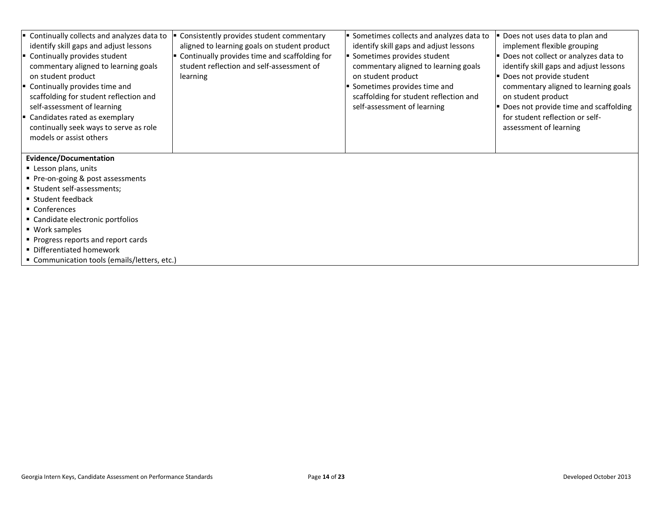| Continually collects and analyzes data to | Consistently provides student commentary      | Sometimes collects and analyzes data to | Does not uses data to plan and         |
|-------------------------------------------|-----------------------------------------------|-----------------------------------------|----------------------------------------|
| identify skill gaps and adjust lessons    | aligned to learning goals on student product  | identify skill gaps and adjust lessons  | implement flexible grouping            |
| Continually provides student              | Continually provides time and scaffolding for | Sometimes provides student              | Does not collect or analyzes data to   |
| commentary aligned to learning goals      | student reflection and self-assessment of     | commentary aligned to learning goals    | identify skill gaps and adjust lessons |
| on student product                        | learning                                      | on student product                      | Does not provide student               |
| Continually provides time and             |                                               | Sometimes provides time and             | commentary aligned to learning goals   |
| scaffolding for student reflection and    |                                               | scaffolding for student reflection and  | on student product                     |
| self-assessment of learning               |                                               | self-assessment of learning             | Does not provide time and scaffolding  |
| Candidates rated as exemplary             |                                               |                                         | for student reflection or self-        |
| continually seek ways to serve as role    |                                               |                                         | assessment of learning                 |
| models or assist others                   |                                               |                                         |                                        |
|                                           |                                               |                                         |                                        |

- **Lesson plans, units**
- **Pre-on-going & post assessments**
- Student self-assessments;
- **Student feedback**
- Conferences
- Candidate electronic portfolios
- Work samples
- **Progress reports and report cards**
- Differentiated homework
- Communication tools (emails/letters, etc.)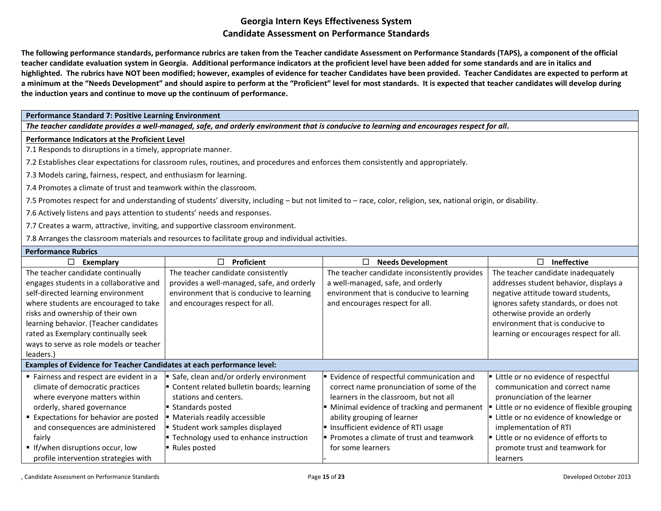**The following performance standards, performance rubrics are taken from the Teacher candidate Assessment on Performance Standards (TAPS), a component of the official teacher candidate evaluation system in Georgia. Additional performance indicators at the proficient level have been added for some standards and are in italics and highlighted. The rubrics have NOT been modified; however, examples of evidence for teacher Candidates have been provided. Teacher Candidates are expected to perform at a minimum at the "Needs Development" and should aspire to perform at the "Proficient" level for most standards. It is expected that teacher candidates will develop during the induction years and continue to move up the continuum of performance.** 

#### **Performance Standard 7: Positive Learning Environment**

*The teacher candidate provides a well-managed, safe, and orderly environment that is conducive to learning and encourages respect for all.*

#### **Performance Indicators at the Proficient Level**

7.1 Responds to disruptions in a timely, appropriate manner.

7.2 Establishes clear expectations for classroom rules, routines, and procedures and enforces them consistently and appropriately.

- 7.3 Models caring, fairness, respect, and enthusiasm for learning.
- 7.4 Promotes a climate of trust and teamwork within the classroom.
- 7.5 Promotes respect for and understanding of students' diversity, including but not limited to race, color, religion, sex, national origin, or disability.
- 7.6 Actively listens and pays attention to students' needs and responses.
- 7.7 Creates a warm, attractive, inviting, and supportive classroom environment.

7.8 Arranges the classroom materials and resources to facilitate group and individual activities.

| <b>Performance Rubrics</b>                                             |                                            |                                               |                                                |
|------------------------------------------------------------------------|--------------------------------------------|-----------------------------------------------|------------------------------------------------|
| □<br>Exemplary                                                         | Proficient<br>П                            | <b>Needs Development</b><br>$\Box$            | □<br><b>Ineffective</b>                        |
| The teacher candidate continually                                      | The teacher candidate consistently         | The teacher candidate inconsistently provides | The teacher candidate inadequately             |
| engages students in a collaborative and                                | provides a well-managed, safe, and orderly | a well-managed, safe, and orderly             | addresses student behavior, displays a         |
| self-directed learning environment                                     | environment that is conducive to learning  | environment that is conducive to learning     | negative attitude toward students,             |
| where students are encouraged to take                                  | and encourages respect for all.            | and encourages respect for all.               | ignores safety standards, or does not          |
| risks and ownership of their own                                       |                                            |                                               | otherwise provide an orderly                   |
| learning behavior. (Teacher candidates                                 |                                            |                                               | environment that is conducive to               |
| rated as Exemplary continually seek                                    |                                            |                                               | learning or encourages respect for all.        |
| ways to serve as role models or teacher                                |                                            |                                               |                                                |
| leaders.)                                                              |                                            |                                               |                                                |
| Examples of Evidence for Teacher Candidates at each performance level: |                                            |                                               |                                                |
| ■ Fairness and respect are evident in a                                | Safe, clean and/or orderly environment     | Evidence of respectful communication and      | Little or no evidence of respectful            |
| climate of democratic practices                                        | Content related bulletin boards; learning  | correct name pronunciation of some of the     | communication and correct name                 |
| where everyone matters within                                          | stations and centers.                      | learners in the classroom, but not all        | pronunciation of the learner                   |
| orderly, shared governance                                             | Standards posted                           | Minimal evidence of tracking and permanent    | Little or no evidence of flexible grouping     |
| Expectations for behavior are posted                                   | Materials readily accessible               | ability grouping of learner                   | <b>E</b> Little or no evidence of knowledge or |
| and consequences are administered                                      | Student work samples displayed             | Insufficient evidence of RTI usage            | implementation of RTI                          |
| fairly                                                                 | ■ Technology used to enhance instruction   | Promotes a climate of trust and teamwork      | Little or no evidence of efforts to            |
| If/when disruptions occur, low                                         | ■ Rules posted                             | for some learners                             | promote trust and teamwork for                 |
| profile intervention strategies with                                   |                                            |                                               | learners                                       |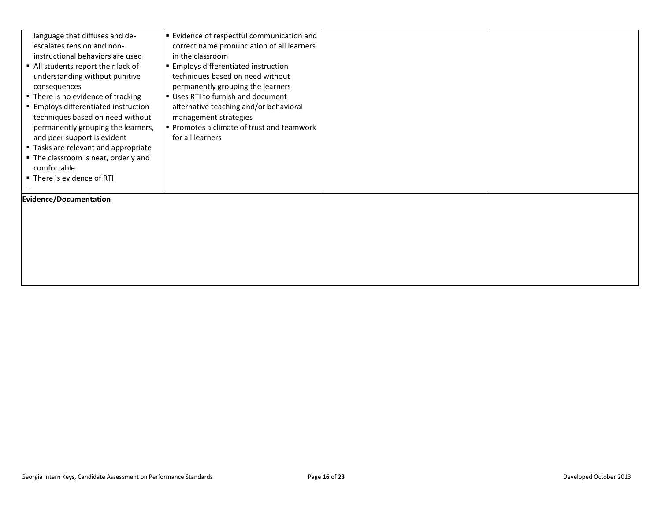| language that diffuses and de-<br>escalates tension and non-<br>instructional behaviors are used<br>• All students report their lack of<br>understanding without punitive<br>consequences<br>■ There is no evidence of tracking<br>■ Employs differentiated instruction<br>techniques based on need without<br>permanently grouping the learners,<br>and peer support is evident<br>■ Tasks are relevant and appropriate<br>• The classroom is neat, orderly and<br>comfortable | ■ Evidence of respectful communication and<br>correct name pronunciation of all learners<br>in the classroom<br>■ Employs differentiated instruction<br>techniques based on need without<br>permanently grouping the learners<br>Uses RTI to furnish and document<br>alternative teaching and/or behavioral<br>management strategies<br>Promotes a climate of trust and teamwork<br>for all learners |  |
|---------------------------------------------------------------------------------------------------------------------------------------------------------------------------------------------------------------------------------------------------------------------------------------------------------------------------------------------------------------------------------------------------------------------------------------------------------------------------------|------------------------------------------------------------------------------------------------------------------------------------------------------------------------------------------------------------------------------------------------------------------------------------------------------------------------------------------------------------------------------------------------------|--|
| ■ There is evidence of RTI                                                                                                                                                                                                                                                                                                                                                                                                                                                      |                                                                                                                                                                                                                                                                                                                                                                                                      |  |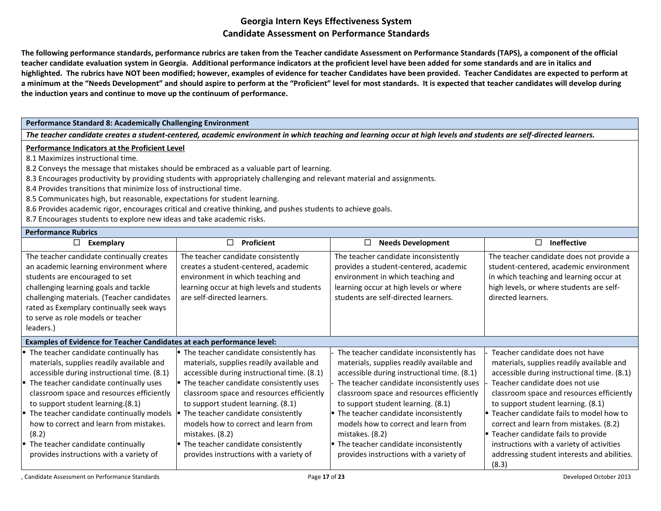**The following performance standards, performance rubrics are taken from the Teacher candidate Assessment on Performance Standards (TAPS), a component of the official teacher candidate evaluation system in Georgia. Additional performance indicators at the proficient level have been added for some standards and are in italics and highlighted. The rubrics have NOT been modified; however, examples of evidence for teacher Candidates have been provided. Teacher Candidates are expected to perform at a minimum at the "Needs Development" and should aspire to perform at the "Proficient" level for most standards. It is expected that teacher candidates will develop during the induction years and continue to move up the continuum of performance.** 

### **Performance Standard 8: Academically Challenging Environment**

*The teacher candidate creates a student-centered, academic environment in which teaching and learning occur at high levels and students are self-directed learners.*

#### **Performance Indicators at the Proficient Level**

8.1 Maximizes instructional time.

8.2 Conveys the message that mistakes should be embraced as a valuable part of learning.

- 8.3 Encourages productivity by providing students with appropriately challenging and relevant material and assignments.
- 8.4 Provides transitions that minimize loss of instructional time.
- 8.5 Communicates high, but reasonable, expectations for student learning.
- 8.6 Provides academic rigor, encourages critical and creative thinking, and pushes students to achieve goals.
- 8.7 Encourages students to explore new ideas and take academic risks.

#### **Performance Rubrics**

| □<br>Exemplary                                                                                                                                                                                                                                                                                                                                                                                                                                | Proficient<br>П                                                                                                                                                                                                                                                                                                                                                                                                                                                                    | <b>Needs Development</b><br>П.                                                                                                                                                                                                                                                                                                                                                                                                                                 | <b>Ineffective</b><br>П                                                                                                                                                                                                                                                                                                                                                                                                                                                                   |
|-----------------------------------------------------------------------------------------------------------------------------------------------------------------------------------------------------------------------------------------------------------------------------------------------------------------------------------------------------------------------------------------------------------------------------------------------|------------------------------------------------------------------------------------------------------------------------------------------------------------------------------------------------------------------------------------------------------------------------------------------------------------------------------------------------------------------------------------------------------------------------------------------------------------------------------------|----------------------------------------------------------------------------------------------------------------------------------------------------------------------------------------------------------------------------------------------------------------------------------------------------------------------------------------------------------------------------------------------------------------------------------------------------------------|-------------------------------------------------------------------------------------------------------------------------------------------------------------------------------------------------------------------------------------------------------------------------------------------------------------------------------------------------------------------------------------------------------------------------------------------------------------------------------------------|
| The teacher candidate continually creates<br>an academic learning environment where<br>students are encouraged to set<br>challenging learning goals and tackle<br>challenging materials. (Teacher candidates<br>rated as Exemplary continually seek ways<br>to serve as role models or teacher<br>leaders.)                                                                                                                                   | The teacher candidate consistently<br>creates a student-centered, academic<br>environment in which teaching and<br>learning occur at high levels and students<br>are self-directed learners.                                                                                                                                                                                                                                                                                       | The teacher candidate inconsistently<br>provides a student-centered, academic<br>environment in which teaching and<br>learning occur at high levels or where<br>students are self-directed learners.                                                                                                                                                                                                                                                           | The teacher candidate does not provide a<br>student-centered, academic environment<br>in which teaching and learning occur at<br>high levels, or where students are self-<br>directed learners.                                                                                                                                                                                                                                                                                           |
| Examples of Evidence for Teacher Candidates at each performance level:                                                                                                                                                                                                                                                                                                                                                                        |                                                                                                                                                                                                                                                                                                                                                                                                                                                                                    |                                                                                                                                                                                                                                                                                                                                                                                                                                                                |                                                                                                                                                                                                                                                                                                                                                                                                                                                                                           |
| The teacher candidate continually has<br>materials, supplies readily available and<br>accessible during instructional time. (8.1)<br>The teacher candidate continually uses<br>classroom space and resources efficiently<br>to support student learning.(8.1)<br>The teacher candidate continually models<br>how to correct and learn from mistakes.<br>(8.2)<br>The teacher candidate continually<br>provides instructions with a variety of | $\blacksquare$ The teacher candidate consistently has<br>materials, supplies readily available and<br>accessible during instructional time. (8.1)<br>" The teacher candidate consistently uses<br>classroom space and resources efficiently<br>to support student learning. (8.1)<br>The teacher candidate consistently<br>models how to correct and learn from<br>mistakes. (8.2)<br>$\blacksquare$ The teacher candidate consistently<br>provides instructions with a variety of | The teacher candidate inconsistently has<br>materials, supplies readily available and<br>accessible during instructional time. (8.1)<br>The teacher candidate inconsistently uses<br>classroom space and resources efficiently<br>to support student learning. (8.1)<br>• The teacher candidate inconsistently<br>models how to correct and learn from<br>mistakes. (8.2)<br>• The teacher candidate inconsistently<br>provides instructions with a variety of | Teacher candidate does not have<br>materials, supplies readily available and<br>accessible during instructional time. (8.1)<br>Teacher candidate does not use<br>classroom space and resources efficiently<br>to support student learning. (8.1)<br>" Teacher candidate fails to model how to<br>correct and learn from mistakes. (8.2)<br><b>Teacher candidate fails to provide</b><br>instructions with a variety of activities<br>addressing student interests and abilities.<br>(8.3) |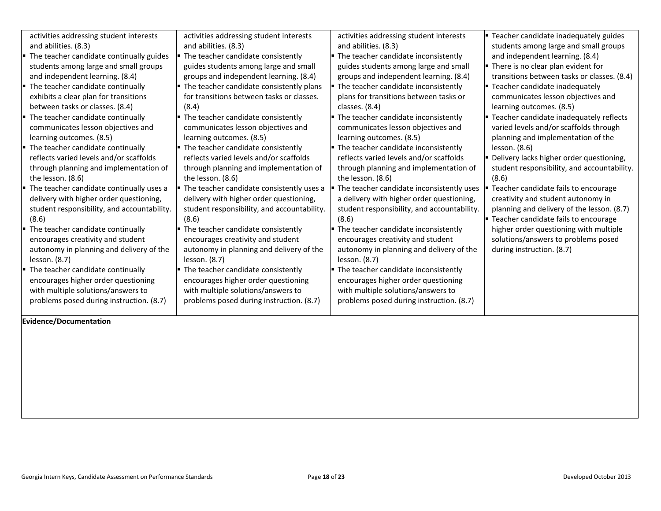| activities addressing student interests          | activities addressing student interests               | activities addressing student interests                    | ■ Teacher candidate inadequately guides        |
|--------------------------------------------------|-------------------------------------------------------|------------------------------------------------------------|------------------------------------------------|
| and abilities. (8.3)                             | and abilities. (8.3)                                  | and abilities. (8.3)                                       | students among large and small groups          |
| • The teacher candidate continually guides       | The teacher candidate consistently                    | $\blacksquare$ The teacher candidate inconsistently        | and independent learning. (8.4)                |
| students among large and small groups            | guides students among large and small                 | guides students among large and small                      | • There is no clear plan evident for           |
| and independent learning. (8.4)                  | groups and independent learning. (8.4)                | groups and independent learning. (8.4)                     | transitions between tasks or classes. (8.4)    |
| $\blacksquare$ The teacher candidate continually | The teacher candidate consistently plans              | $\blacksquare$ The teacher candidate inconsistently        | " Teacher candidate inadequately               |
| exhibits a clear plan for transitions            | for transitions between tasks or classes.             | plans for transitions between tasks or                     | communicates lesson objectives and             |
| between tasks or classes. (8.4)                  | (8.4)                                                 | classes. (8.4)                                             | learning outcomes. (8.5)                       |
| $\blacksquare$ The teacher candidate continually | The teacher candidate consistently                    | $\blacktriangleright$ The teacher candidate inconsistently | <b>Teacher candidate inadequately reflects</b> |
| communicates lesson objectives and               | communicates lesson objectives and                    | communicates lesson objectives and                         | varied levels and/or scaffolds through         |
| learning outcomes. (8.5)                         | learning outcomes. (8.5)                              | learning outcomes. (8.5)                                   | planning and implementation of the             |
| $\blacksquare$ The teacher candidate continually | " The teacher candidate consistently                  | $\blacktriangleright$ The teacher candidate inconsistently | lesson. (8.6)                                  |
| reflects varied levels and/or scaffolds          | reflects varied levels and/or scaffolds               | reflects varied levels and/or scaffolds                    | Delivery lacks higher order questioning,       |
| through planning and implementation of           | through planning and implementation of                | through planning and implementation of                     | student responsibility, and accountability.    |
| the lesson. (8.6)                                | the lesson. (8.6)                                     | the lesson. (8.6)                                          | (8.6)                                          |
| • The teacher candidate continually uses a       | The teacher candidate consistently uses a             | The teacher candidate inconsistently uses                  | Teacher candidate fails to encourage           |
| delivery with higher order questioning,          | delivery with higher order questioning,               | a delivery with higher order questioning,                  | creativity and student autonomy in             |
| student responsibility, and accountability.      | student responsibility, and accountability.           | student responsibility, and accountability.                | planning and delivery of the lesson. (8.7)     |
| (8.6)                                            | (8.6)                                                 | (8.6)                                                      | <b>E</b> Teacher candidate fails to encourage  |
| " The teacher candidate continually              | <b>The teacher candidate consistently</b> The teacher | $\blacktriangleright$ The teacher candidate inconsistently | higher order questioning with multiple         |
| encourages creativity and student                | encourages creativity and student                     | encourages creativity and student                          | solutions/answers to problems posed            |
| autonomy in planning and delivery of the         | autonomy in planning and delivery of the              | autonomy in planning and delivery of the                   | during instruction. (8.7)                      |
| lesson. (8.7)                                    | lesson. (8.7)                                         | lesson. (8.7)                                              |                                                |
| " The teacher candidate continually              | The teacher candidate consistently                    | $\blacksquare$ The teacher candidate inconsistently        |                                                |
| encourages higher order questioning              | encourages higher order questioning                   | encourages higher order questioning                        |                                                |
| with multiple solutions/answers to               | with multiple solutions/answers to                    | with multiple solutions/answers to                         |                                                |
| problems posed during instruction. (8.7)         | problems posed during instruction. (8.7)              | problems posed during instruction. (8.7)                   |                                                |
|                                                  |                                                       |                                                            |                                                |
|                                                  |                                                       |                                                            |                                                |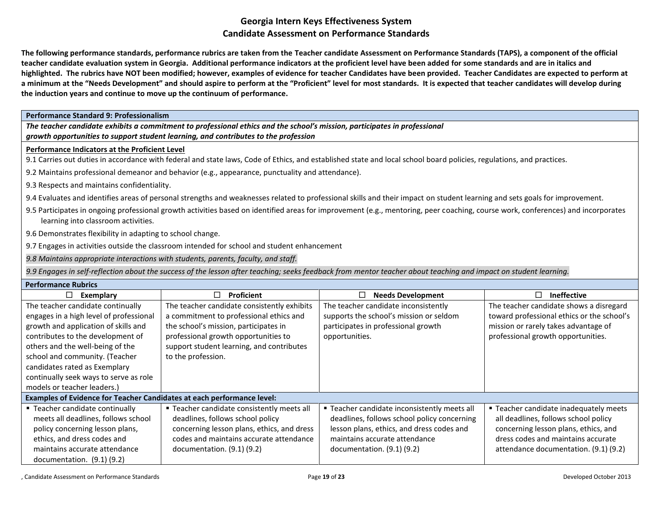**The following performance standards, performance rubrics are taken from the Teacher candidate Assessment on Performance Standards (TAPS), a component of the official teacher candidate evaluation system in Georgia. Additional performance indicators at the proficient level have been added for some standards and are in italics and highlighted. The rubrics have NOT been modified; however, examples of evidence for teacher Candidates have been provided. Teacher Candidates are expected to perform at a minimum at the "Needs Development" and should aspire to perform at the "Proficient" level for most standards. It is expected that teacher candidates will develop during the induction years and continue to move up the continuum of performance.** 

**Performance Standard 9: Professionalism**

*The teacher candidate exhibits a commitment to professional ethics and the school's mission, participates in professional growth opportunities to support student learning, and contributes to the profession*

### **Performance Indicators at the Proficient Level**

9.1 Carries out duties in accordance with federal and state laws, Code of Ethics, and established state and local school board policies, regulations, and practices.

9.2 Maintains professional demeanor and behavior (e.g., appearance, punctuality and attendance).

9.3 Respects and maintains confidentiality.

9.4 Evaluates and identifies areas of personal strengths and weaknesses related to professional skills and their impact on student learning and sets goals for improvement.

9.5 Participates in ongoing professional growth activities based on identified areas for improvement (e.g., mentoring, peer coaching, course work, conferences) and incorporates learning into classroom activities.

9.6 Demonstrates flexibility in adapting to school change.

9.7 Engages in activities outside the classroom intended for school and student enhancement

*9.8 Maintains appropriate interactions with students, parents, faculty, and staff.*

9.9 Engages in self-reflection about the success of the lesson after teaching; seeks feedback from mentor teacher about teaching and impact on student learning.

| <b>Performance Rubrics</b>                                             |                                             |                                              |                                            |  |
|------------------------------------------------------------------------|---------------------------------------------|----------------------------------------------|--------------------------------------------|--|
| Exemplary                                                              | □<br>Proficient                             | <b>Needs Development</b>                     | <b>Ineffective</b><br>□                    |  |
| The teacher candidate continually                                      | The teacher candidate consistently exhibits | The teacher candidate inconsistently         | The teacher candidate shows a disregard    |  |
| engages in a high level of professional                                | a commitment to professional ethics and     | supports the school's mission or seldom      | toward professional ethics or the school's |  |
| growth and application of skills and                                   | the school's mission, participates in       | participates in professional growth          | mission or rarely takes advantage of       |  |
| contributes to the development of                                      | professional growth opportunities to        | opportunities.                               | professional growth opportunities.         |  |
| others and the well-being of the                                       | support student learning, and contributes   |                                              |                                            |  |
| school and community. (Teacher                                         | to the profession.                          |                                              |                                            |  |
| candidates rated as Exemplary                                          |                                             |                                              |                                            |  |
| continually seek ways to serve as role                                 |                                             |                                              |                                            |  |
| models or teacher leaders.)                                            |                                             |                                              |                                            |  |
| Examples of Evidence for Teacher Candidates at each performance level: |                                             |                                              |                                            |  |
| ■ Teacher candidate continually                                        | ■ Teacher candidate consistently meets all  | ■ Teacher candidate inconsistently meets all | " Teacher candidate inadequately meets     |  |
| meets all deadlines, follows school                                    | deadlines, follows school policy            | deadlines, follows school policy concerning  | all deadlines, follows school policy       |  |
| policy concerning lesson plans,                                        | concerning lesson plans, ethics, and dress  | lesson plans, ethics, and dress codes and    | concerning lesson plans, ethics, and       |  |
| ethics, and dress codes and                                            | codes and maintains accurate attendance     | maintains accurate attendance                | dress codes and maintains accurate         |  |
| maintains accurate attendance                                          | documentation. $(9.1)$ $(9.2)$              | documentation. $(9.1)$ $(9.2)$               | attendance documentation. (9.1) (9.2)      |  |
| documentation. $(9.1)$ $(9.2)$                                         |                                             |                                              |                                            |  |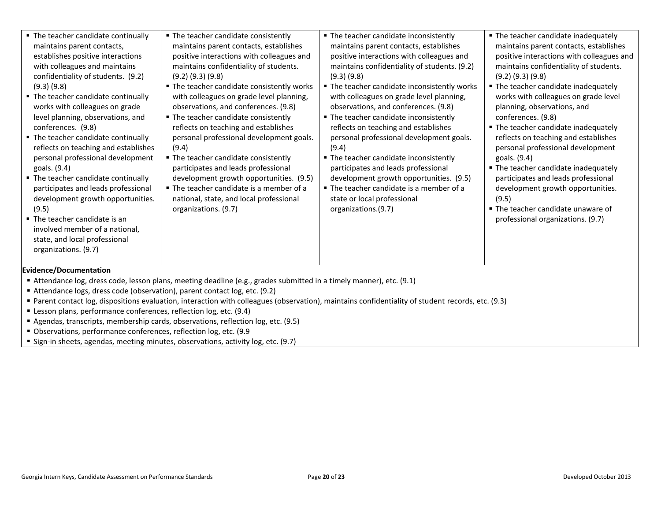| • The teacher candidate continually<br>maintains parent contacts,<br>establishes positive interactions<br>with colleagues and maintains<br>confidentiality of students. (9.2)<br>$(9.3)$ $(9.8)$<br>• The teacher candidate continually<br>works with colleagues on grade<br>level planning, observations, and<br>conferences. (9.8)<br>• The teacher candidate continually<br>reflects on teaching and establishes<br>personal professional development<br>goals. (9.4)<br>" The teacher candidate continually<br>participates and leads professional<br>development growth opportunities.<br>(9.5)<br>■ The teacher candidate is an<br>involved member of a national,<br>state, and local professional<br>organizations. (9.7) | ■ The teacher candidate consistently<br>maintains parent contacts, establishes<br>positive interactions with colleagues and<br>maintains confidentiality of students.<br>$(9.2)$ $(9.3)$ $(9.8)$<br>• The teacher candidate consistently works<br>with colleagues on grade level planning,<br>observations, and conferences. (9.8)<br>• The teacher candidate consistently<br>reflects on teaching and establishes<br>personal professional development goals.<br>(9.4)<br>" The teacher candidate consistently<br>participates and leads professional<br>development growth opportunities. (9.5)<br>■ The teacher candidate is a member of a<br>national, state, and local professional<br>organizations. (9.7) | • The teacher candidate inconsistently<br>maintains parent contacts, establishes<br>positive interactions with colleagues and<br>maintains confidentiality of students. (9.2)<br>$(9.3)$ $(9.8)$<br>" The teacher candidate inconsistently works<br>with colleagues on grade level planning,<br>observations, and conferences. (9.8)<br>• The teacher candidate inconsistently<br>reflects on teaching and establishes<br>personal professional development goals.<br>(9.4)<br>• The teacher candidate inconsistently<br>participates and leads professional<br>development growth opportunities. (9.5)<br>The teacher candidate is a member of a<br>state or local professional<br>organizations.(9.7) | • The teacher candidate inadequately<br>maintains parent contacts, establishes<br>positive interactions with colleagues and<br>maintains confidentiality of students.<br>$(9.2)$ $(9.3)$ $(9.8)$<br>• The teacher candidate inadequately<br>works with colleagues on grade level<br>planning, observations, and<br>conferences. (9.8)<br>• The teacher candidate inadequately<br>reflects on teaching and establishes<br>personal professional development<br>goals. (9.4)<br>• The teacher candidate inadequately<br>participates and leads professional<br>development growth opportunities.<br>(9.5)<br>■ The teacher candidate unaware of<br>professional organizations. (9.7) |  |
|----------------------------------------------------------------------------------------------------------------------------------------------------------------------------------------------------------------------------------------------------------------------------------------------------------------------------------------------------------------------------------------------------------------------------------------------------------------------------------------------------------------------------------------------------------------------------------------------------------------------------------------------------------------------------------------------------------------------------------|------------------------------------------------------------------------------------------------------------------------------------------------------------------------------------------------------------------------------------------------------------------------------------------------------------------------------------------------------------------------------------------------------------------------------------------------------------------------------------------------------------------------------------------------------------------------------------------------------------------------------------------------------------------------------------------------------------------|---------------------------------------------------------------------------------------------------------------------------------------------------------------------------------------------------------------------------------------------------------------------------------------------------------------------------------------------------------------------------------------------------------------------------------------------------------------------------------------------------------------------------------------------------------------------------------------------------------------------------------------------------------------------------------------------------------|------------------------------------------------------------------------------------------------------------------------------------------------------------------------------------------------------------------------------------------------------------------------------------------------------------------------------------------------------------------------------------------------------------------------------------------------------------------------------------------------------------------------------------------------------------------------------------------------------------------------------------------------------------------------------------|--|
| Evidence/Documentation<br>Attendance log, dress code, lesson plans, meeting deadline (e.g., grades submitted in a timely manner), etc. (9.1)<br>Attendance logs, dress code (observation), parent contact log, etc. (9.2)<br>Parent contact log, dispositions evaluation, interaction with colleagues (observation), maintains confidentiality of student records, etc. (9.3)<br>" Lesson plans, performance conferences, reflection log, etc. (9.4)                                                                                                                                                                                                                                                                             |                                                                                                                                                                                                                                                                                                                                                                                                                                                                                                                                                                                                                                                                                                                  |                                                                                                                                                                                                                                                                                                                                                                                                                                                                                                                                                                                                                                                                                                         |                                                                                                                                                                                                                                                                                                                                                                                                                                                                                                                                                                                                                                                                                    |  |

- Agendas, transcripts, membership cards, observations, reflection log, etc. (9.5) Observations, performance conferences, reflection log, etc. (9.9
- Sign-in sheets, agendas, meeting minutes, observations, activity log, etc. (9.7)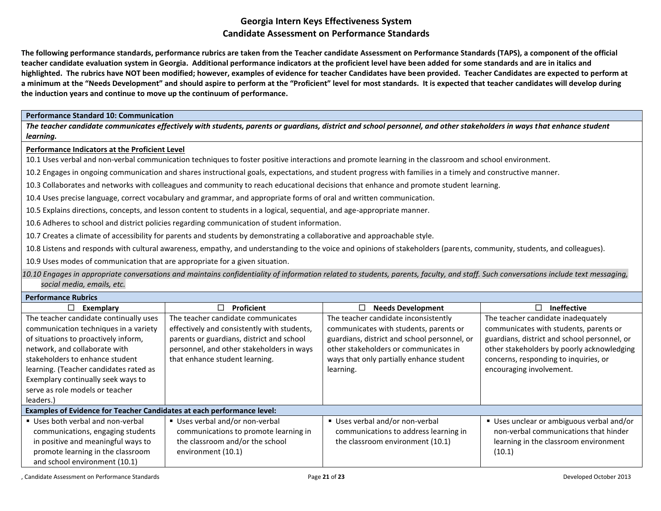**The following performance standards, performance rubrics are taken from the Teacher candidate Assessment on Performance Standards (TAPS), a component of the official teacher candidate evaluation system in Georgia. Additional performance indicators at the proficient level have been added for some standards and are in italics and highlighted. The rubrics have NOT been modified; however, examples of evidence for teacher Candidates have been provided. Teacher Candidates are expected to perform at a minimum at the "Needs Development" and should aspire to perform at the "Proficient" level for most standards. It is expected that teacher candidates will develop during the induction years and continue to move up the continuum of performance.** 

#### **Performance Standard 10: Communication**

*The teacher candidate communicates effectively with students, parents or guardians, district and school personnel, and other stakeholders in ways that enhance student learning.*

#### **Performance Indicators at the Proficient Level**

10.1 Uses verbal and non-verbal communication techniques to foster positive interactions and promote learning in the classroom and school environment.

10.2 Engages in ongoing communication and shares instructional goals, expectations, and student progress with families in a timely and constructive manner.

10.3 Collaborates and networks with colleagues and community to reach educational decisions that enhance and promote student learning.

10.4 Uses precise language, correct vocabulary and grammar, and appropriate forms of oral and written communication.

10.5 Explains directions, concepts, and lesson content to students in a logical, sequential, and age-appropriate manner.

10.6 Adheres to school and district policies regarding communication of student information.

10.7 Creates a climate of accessibility for parents and students by demonstrating a collaborative and approachable style.

10.8 Listens and responds with cultural awareness, empathy, and understanding to the voice and opinions of stakeholders (parents, community, students, and colleagues).

10.9 Uses modes of communication that are appropriate for a given situation.

*10.10 Engages in appropriate conversations and maintains confidentiality of information related to students, parents, faculty, and staff. Such conversations include text messaging, social media, emails, etc.*

| <b>Performance Rubrics</b> |  |
|----------------------------|--|
|----------------------------|--|

| Exemplary<br>⊔                                                                                                                                                                                                                                                                                                              | Proficient                                                                                                                                                                                                    | <b>Needs Development</b><br>LI                                                                                                                                                                                                   | Ineffective                                                                                                                                                                                                                                     |
|-----------------------------------------------------------------------------------------------------------------------------------------------------------------------------------------------------------------------------------------------------------------------------------------------------------------------------|---------------------------------------------------------------------------------------------------------------------------------------------------------------------------------------------------------------|----------------------------------------------------------------------------------------------------------------------------------------------------------------------------------------------------------------------------------|-------------------------------------------------------------------------------------------------------------------------------------------------------------------------------------------------------------------------------------------------|
| The teacher candidate continually uses<br>communication techniques in a variety<br>of situations to proactively inform,<br>network, and collaborate with<br>stakeholders to enhance student<br>learning. (Teacher candidates rated as<br>Exemplary continually seek ways to<br>serve as role models or teacher<br>leaders.) | The teacher candidate communicates<br>effectively and consistently with students,<br>parents or guardians, district and school<br>personnel, and other stakeholders in ways<br>that enhance student learning. | The teacher candidate inconsistently<br>communicates with students, parents or<br>guardians, district and school personnel, or<br>other stakeholders or communicates in<br>ways that only partially enhance student<br>learning. | The teacher candidate inadequately<br>communicates with students, parents or<br>guardians, district and school personnel, or<br>other stakeholders by poorly acknowledging<br>concerns, responding to inquiries, or<br>encouraging involvement. |
| Examples of Evidence for Teacher Candidates at each performance level:                                                                                                                                                                                                                                                      |                                                                                                                                                                                                               |                                                                                                                                                                                                                                  |                                                                                                                                                                                                                                                 |
| ■ Uses both verbal and non-verbal<br>communications, engaging students<br>in positive and meaningful ways to<br>promote learning in the classroom<br>and school environment (10.1)                                                                                                                                          | Uses verbal and/or non-verbal<br>communications to promote learning in<br>the classroom and/or the school<br>environment (10.1)                                                                               | Uses verbal and/or non-verbal<br>communications to address learning in<br>the classroom environment (10.1)                                                                                                                       | Uses unclear or ambiguous verbal and/or<br>non-verbal communications that hinder<br>learning in the classroom environment<br>(10.1)                                                                                                             |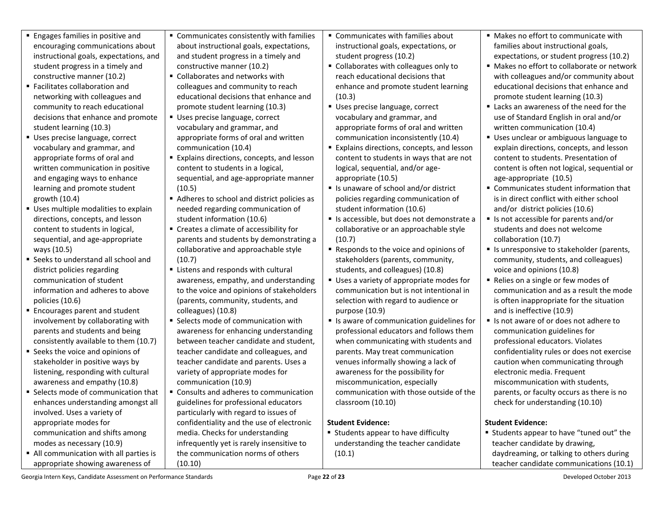- **Engages families in positive and** encouraging communications about instructional goals, expectations, and student progress in a timely and constructive manner (10.2)
- Facilitates collaboration and networking with colleagues and community to reach educational decisions that enhance and promote student learning (10.3)
- Uses precise language, correct vocabulary and grammar, and appropriate forms of oral and written communication in positive and engaging ways to enhance learning and promote student growth (10.4)
- **Uses multiple modalities to explain** directions, concepts, and lesson content to students in logical, sequential, and age-appropriate ways (10.5)
- Seeks to understand all school and district policies regarding communication of student information and adheres to above policies (10.6)
- Encourages parent and student involvement by collaborating with parents and students and being consistently available to them (10.7)
- **Seeks the voice and opinions of** stakeholder in positive ways by listening, responding with cultural awareness and empathy (10.8)
- Selects mode of communication that enhances understanding amongst all involved. Uses a variety of appropriate modes for communication and shifts among modes as necessary (10.9)
- All communication with all parties is appropriate showing awareness of
- Communicates consistently with families about instructional goals, expectations, and student progress in a timely and constructive manner (10.2)
- Collaborates and networks with colleagues and community to reach educational decisions that enhance and promote student learning (10.3)
- Uses precise language, correct vocabulary and grammar, and appropriate forms of oral and written communication (10.4)
- **Explains directions, concepts, and lesson** content to students in a logical, sequential, and age-appropriate manner (10.5)
- Adheres to school and district policies as needed regarding communication of student information (10.6)
- Creates a climate of accessibility for parents and students by demonstrating a collaborative and approachable style (10.7)
- **EXTENS** 2001 responds with cultural awareness, empathy, and understanding to the voice and opinions of stakeholders (parents, community, students, and colleagues) (10.8)
- **Selects mode of communication with** awareness for enhancing understanding between teacher candidate and student, teacher candidate and colleagues, and teacher candidate and parents. Uses a variety of appropriate modes for communication (10.9)
- **Consults and adheres to communication** guidelines for professional educators particularly with regard to issues of confidentiality and the use of electronic media. Checks for understanding infrequently yet is rarely insensitive to the communication norms of others (10.10)
- Communicates with families about instructional goals, expectations, or student progress (10.2)
- Collaborates with colleagues only to reach educational decisions that enhance and promote student learning (10.3)
- Uses precise language, correct vocabulary and grammar, and appropriate forms of oral and written communication inconsistently (10.4)
- **Explains directions, concepts, and lesson** content to students in ways that are not logical, sequential, and/or ageappropriate (10.5)
- Is unaware of school and/or district policies regarding communication of student information (10.6)
- Is accessible, but does not demonstrate a collaborative or an approachable style (10.7)
- Responds to the voice and opinions of stakeholders (parents, community, students, and colleagues) (10.8)
- Uses a variety of appropriate modes for communication but is not intentional in selection with regard to audience or purpose (10.9)
- Is aware of communication guidelines for professional educators and follows them when communicating with students and parents. May treat communication venues informally showing a lack of awareness for the possibility for miscommunication, especially communication with those outside of the classroom (10.10)

# **Student Evidence:**

■ Students appear to have difficulty understanding the teacher candidate (10.1)

- Makes no effort to communicate with families about instructional goals, expectations, or student progress (10.2)
- Makes no effort to collaborate or network with colleagues and/or community about educational decisions that enhance and promote student learning (10.3)
- Lacks an awareness of the need for the use of Standard English in oral and/or written communication (10.4)
- Uses unclear or ambiguous language to explain directions, concepts, and lesson content to students. Presentation of content is often not logical, sequential or age-appropriate (10.5)
- Communicates student information that is in direct conflict with either school and/or district policies (10.6)
- Is not accessible for parents and/or students and does not welcome collaboration (10.7)
- Is unresponsive to stakeholder (parents, community, students, and colleagues) voice and opinions (10.8)
- Relies on a single or few modes of communication and as a result the mode is often inappropriate for the situation and is ineffective (10.9)
- If Is not aware of or does not adhere to communication guidelines for professional educators. Violates confidentiality rules or does not exercise caution when communicating through electronic media. Frequent miscommunication with students, parents, or faculty occurs as there is no check for understanding (10.10)

# **Student Evidence:**

 Students appear to have "tuned out" the teacher candidate by drawing, daydreaming, or talking to others during teacher candidate communications (10.1)